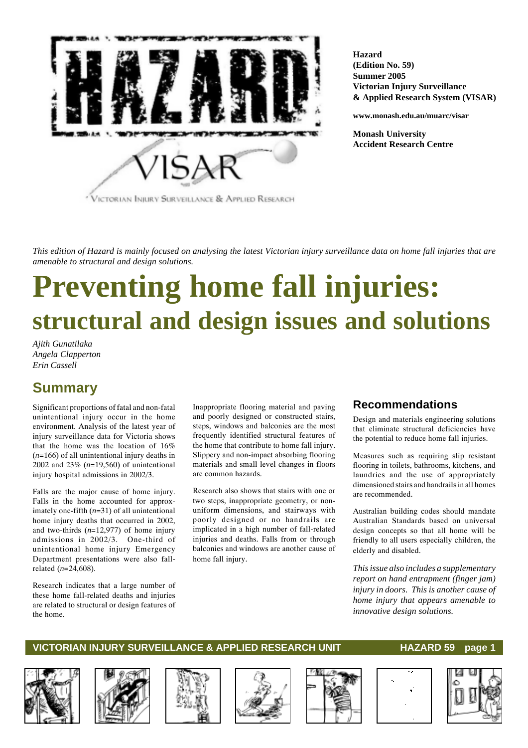

**Hazard (Edition No. 59) Summer 2005 Victorian Injury Surveillance & Applied Research System (VISAR)**

**www.monash.edu.au/muarc/visar**

**Monash University Accident Research Centre**

*This edition of Hazard is mainly focused on analysing the latest Victorian injury surveillance data on home fall injuries that are amenable to structural and design solutions.*

# **Preventing home fall injuries: structural and design issues and solutions**

*Ajith Gunatilaka Angela Clapperton Erin Cassell*

## **Summary**

Significant proportions of fatal and non-fatal unintentional injury occur in the home environment. Analysis of the latest year of injury surveillance data for Victoria shows that the home was the location of 16% (*n*=166) of all unintentional injury deaths in 2002 and 23% (*n*=19,560) of unintentional injury hospital admissions in 2002/3.

Falls are the major cause of home injury. Falls in the home accounted for approximately one-fifth (*n*=31) of all unintentional home injury deaths that occurred in 2002, and two-thirds (*n*=12,977) of home injury admissions in 2002/3. One-third of unintentional home injury Emergency Department presentations were also fallrelated (*n*=24,608).

Research indicates that a large number of these home fall-related deaths and injuries are related to structural or design features of the home.

Inappropriate flooring material and paving and poorly designed or constructed stairs, steps, windows and balconies are the most frequently identified structural features of the home that contribute to home fall injury. Slippery and non-impact absorbing flooring materials and small level changes in floors are common hazards.

Research also shows that stairs with one or two steps, inappropriate geometry, or nonuniform dimensions, and stairways with poorly designed or no handrails are implicated in a high number of fall-related injuries and deaths. Falls from or through balconies and windows are another cause of home fall injury.

### **Recommendations**

Design and materials engineering solutions that eliminate structural deficiencies have the potential to reduce home fall injuries.

Measures such as requiring slip resistant flooring in toilets, bathrooms, kitchens, and laundries and the use of appropriately dimensioned stairs and handrails in all homes are recommended.

Australian building codes should mandate Australian Standards based on universal design concepts so that all home will be friendly to all users especially children, the elderly and disabled.

*This issue also includes a supplementary report on hand entrapment (finger jam) injury in doors. This is another cause of home injury that appears amenable to innovative design solutions.*











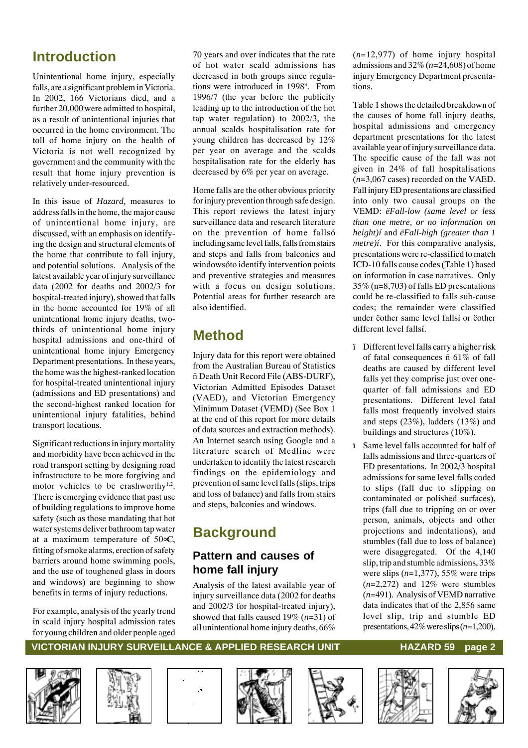# **Introduction**

Unintentional home injury, especially falls, are a significant problem in Victoria. In 2002, 166 Victorians died, and a further 20,000 were admitted to hospital, as a result of unintentional injuries that occurred in the home environment. The toll of home injury on the health of Victoria is not well recognized by government and the community with the result that home injury prevention is relatively under-resourced.

In this issue of *Hazard,* measures to address falls in the home, the major cause of unintentional home injury, are discussed, with an emphasis on identifying the design and structural elements of the home that contribute to fall injury, and potential solutions. Analysis of the latest available year of injury surveillance data (2002 for deaths and 2002/3 for hospital-treated injury), showed that falls in the home accounted for 19% of all unintentional home injury deaths, twothirds of unintentional home injury hospital admissions and one-third of unintentional home injury Emergency Department presentations. In these years, the home was the highest-ranked location for hospital-treated unintentional injury (admissions and ED presentations) and the second-highest ranked location for unintentional injury fatalities, behind transport locations.

Significant reductions in injury mortality and morbidity have been achieved in the road transport setting by designing road infrastructure to be more forgiving and motor vehicles to be crashworthy<sup>1,2</sup>. There is emerging evidence that past use of building regulations to improve home safety (such as those mandating that hot water systems deliver bathroom tap water at a maximum temperature of 50∞C, fitting of smoke alarms, erection of safety barriers around home swimming pools, and the use of toughened glass in doors and windows) are beginning to show benefits in terms of injury reductions.

For example, analysis of the yearly trend in scald injury hospital admission rates for young children and older people aged

70 years and over indicates that the rate of hot water scald admissions has decreased in both groups since regulations were introduced in 1998<sup>3</sup>. From 1996/7 (the year before the publicity leading up to the introduction of the hot tap water regulation) to 2002/3, the annual scalds hospitalisation rate for young children has decreased by 12% per year on average and the scalds hospitalisation rate for the elderly has decreased by 6% per year on average.

Home falls are the other obvious priority for injury prevention through safe design. This report reviews the latest injury surveillance data and research literature on the prevention of home fallsó including same level falls, falls from stairs and steps and falls from balconies and windowsóto identify intervention points and preventive strategies and measures with a focus on design solutions. Potential areas for further research are also identified.

# **Method**

Injury data for this report were obtained from the Australian Bureau of Statistics ñ Death Unit Record File (ABS-DURF), Victorian Admitted Episodes Dataset (VAED), and Victorian Emergency Minimum Dataset (VEMD) (See Box 1 at the end of this report for more details of data sources and extraction methods). An Internet search using Google and a literature search of Medline were undertaken to identify the latest research findings on the epidemiology and prevention of same level falls (slips, trips and loss of balance) and falls from stairs and steps, balconies and windows.

# **Background**

### **Pattern and causes of home fall injury**

Analysis of the latest available year of injury surveillance data (2002 for deaths and 2002/3 for hospital-treated injury), showed that falls caused 19% (*n*=31) of all unintentional home injury deaths, 66%

(*n*=12,977) of home injury hospital admissions and 32% (*n*=24,608) of home injury Emergency Department presentations.

Table 1 shows the detailed breakdown of the causes of home fall injury deaths, hospital admissions and emergency department presentations for the latest available year of injury surveillance data. The specific cause of the fall was not given in 24% of fall hospitalisations (*n*=3,067 cases) recorded on the VAED. Fall injury ED presentations are classified into only two causal groups on the VEMD: *ëFall-low (same level or less than one metre, or no information on height)í* and *ëFall-high (greater than 1 metre)í*. For this comparative analysis, presentations were re-classified to match ICD-10 falls cause codes (Table 1) based on information in case narratives. Only 35% (n=8,703) of falls ED presentations could be re-classified to falls sub-cause codes; the remainder were classified under ëother same level fallsí or ëother different level fallsí.

- ï Different level falls carry a higher risk of fatal consequences ñ 61% of fall deaths are caused by different level falls yet they comprise just over onequarter of fall admissions and ED presentations. Different level fatal falls most frequently involved stairs and steps (23%), ladders (13%) and buildings and structures (10%).
- ï Same level falls accounted for half of falls admissions and three-quarters of ED presentations. In 2002/3 hospital admissions for same level falls coded to slips (fall due to slipping on contaminated or polished surfaces), trips (fall due to tripping on or over person, animals, objects and other projections and indentations), and stumbles (fall due to loss of balance) were disaggregated. Of the 4,140 slip, trip and stumble admissions, 33% were slips  $(n=1,377)$ , 55% were trips (*n*=2,272) and 12% were stumbles (*n*=491). Analysis of VEMD narrative data indicates that of the 2,856 same level slip, trip and stumble ED presentations, 42% were slips (*n*=1,200),













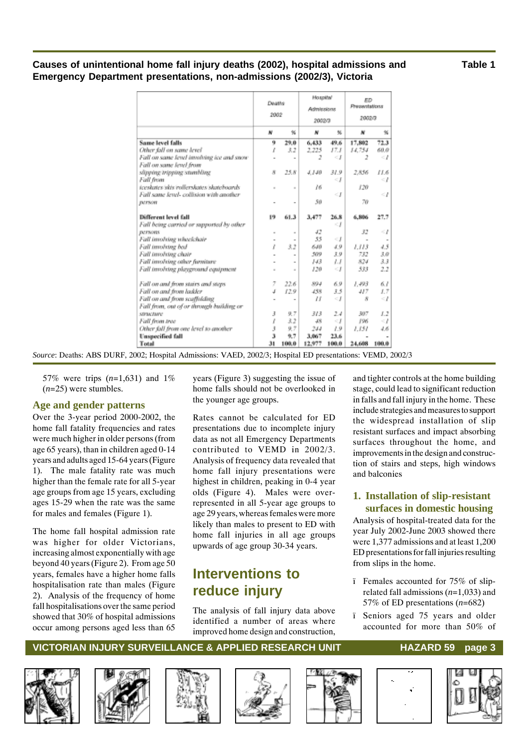### **Causes of unintentional home fall injury deaths (2002), hospital admissions and Table 1 Emergency Department presentations, non-admissions (2002/3), Victoria**

|                                           | Deaths<br>2002 |                          | Hospital<br>Administrus<br>2002/3 |                 | ED.<br>Pressentations<br>2002/3 |          |
|-------------------------------------------|----------------|--------------------------|-----------------------------------|-----------------|---------------------------------|----------|
|                                           | w              | 铱                        | w                                 | 鲇               | N                               | 96       |
| Same level falls                          | 9              | 29.0                     | 6.433                             | 49.6            | 17,802                          | 72.3     |
| Other fall on same level                  | 1              | 3.2                      | 2.225                             | 17.1            | 14.754                          | 60.0     |
| Fall on same level involving ice and snow |                | $\overline{a}$           | 2                                 | $\leq$ $\Gamma$ | 2                               | $\leq$ 1 |
| Fall on some level from                   |                |                          |                                   |                 |                                 |          |
| slipping tripping stumbling               | 8              | 25.8                     | 4.140                             | 31.9            | 2.856                           | 11.6     |
| Fall from                                 |                |                          |                                   | <∫              |                                 | - 1      |
| teeskates idds indlerskates iskateboards  | ×              | $\mathbf{r}$             | 16                                |                 | 120                             |          |
| Fall some level- collision with another   |                |                          |                                   | $\leq$ $\Gamma$ |                                 | -1       |
| <b>DEPROIT</b>                            |                | $\blacksquare$           | 50                                |                 | 70                              |          |
| Different level fall                      | 19             | 61.3                     | 3,477                             | 26.8            | 6,806                           | 27.7     |
| Fall being carried or supported by other  |                |                          |                                   | - 1             |                                 |          |
| <b>DeFSORS</b>                            |                | $\bar{a}$                | 42                                |                 | 32                              | -1       |
| Fall involving wheelchair                 |                | $\blacksquare$           | 55                                | <∫              | $\sim$                          |          |
| Fall impliting bed                        | Ĩ.             | 3.2                      | 650                               | 4.9             | 1.113                           | 4.5      |
| Fall involving chair                      |                | $\overline{a}$           | 509                               | 3.9             | 732                             | 3.0      |
| Fall involving other furniture            |                | $\overline{a}$           | 143                               | 1.1             | 824                             | 3.3      |
| Fall involving playground equipment       |                | $\equiv$                 | 120                               | -1              | 533                             | 2.2      |
| Fall on and from stairs and steps         | 7              | 22.6                     | 894                               | 6.9             | 1.493                           | 61       |
| Fall on and from ladder                   | đ              | 12.9                     | 458                               | 3.5             | 417                             | 1.7      |
| Fall on and from scaffolding              |                | $\overline{\phantom{a}}$ | $_{II}$                           | $\leq$ $\Gamma$ | $\mathcal{R}$                   | $\leq l$ |
| Fall from, out of or through building or  |                |                          |                                   |                 |                                 |          |
| structure                                 | $\mathbf{J}$   | 9.7                      | 313                               | 2.4             | 307                             | J.2      |
| Fall from tree                            | ı              | 3.2                      | 48                                | $\leq$ $J$      | 196                             | -1       |
| Other fall from one level to another      | Ĵ              | 9.7                      | 244                               | 1.9             | 1.151                           | 4.6      |
| <b>Unspecified fall</b>                   | 3              | 9.7                      | 3.067                             | 23.6            |                                 |          |
| Total                                     | 31             | 100.0                    | 12,977                            | 100.0           | 24,608                          | 100.0    |

*Source*: Deaths: ABS DURF, 2002; Hospital Admissions: VAED, 2002/3; Hospital ED presentations: VEMD, 2002/3

57% were trips (*n*=1,631) and 1% (*n*=25) were stumbles.

#### **Age and gender patterns**

Over the 3-year period 2000-2002, the home fall fatality frequencies and rates were much higher in older persons (from age 65 years), than in children aged 0-14 years and adults aged 15-64 years (Figure 1). The male fatality rate was much higher than the female rate for all 5-year age groups from age 15 years, excluding ages 15-29 when the rate was the same for males and females (Figure 1).

The home fall hospital admission rate was higher for older Victorians, increasing almost exponentially with age beyond 40 years (Figure 2). From age 50 years, females have a higher home falls hospitalisation rate than males (Figure 2). Analysis of the frequency of home fall hospitalisations over the same period showed that 30% of hospital admissions occur among persons aged less than 65

years (Figure 3) suggesting the issue of home falls should not be overlooked in the younger age groups.

Rates cannot be calculated for ED presentations due to incomplete injury data as not all Emergency Departments contributed to VEMD in 2002/3. Analysis of frequency data revealed that home fall injury presentations were highest in children, peaking in 0-4 year olds (Figure 4). Males were overrepresented in all 5-year age groups to age 29 years, whereas females were more likely than males to present to ED with home fall injuries in all age groups upwards of age group 30-34 years.

## **Interventions to reduce injury**

The analysis of fall injury data above identified a number of areas where improved home design and construction,

and tighter controls at the home building stage, could lead to significant reduction in falls and fall injury in the home. These include strategies and measures to support the widespread installation of slip resistant surfaces and impact absorbing surfaces throughout the home, and improvements in the design and construction of stairs and steps, high windows and balconies

#### **1. Installation of slip-resistant surfaces in domestic housing**

Analysis of hospital-treated data for the year July 2002-June 2003 showed there were 1,377 admissions and at least 1,200 ED presentations for fall injuries resulting from slips in the home.

- ï Females accounted for 75% of sliprelated fall admissions (*n*=1,033) and 57% of ED presentations (*n*=682)
- ï Seniors aged 75 years and older accounted for more than 50% of













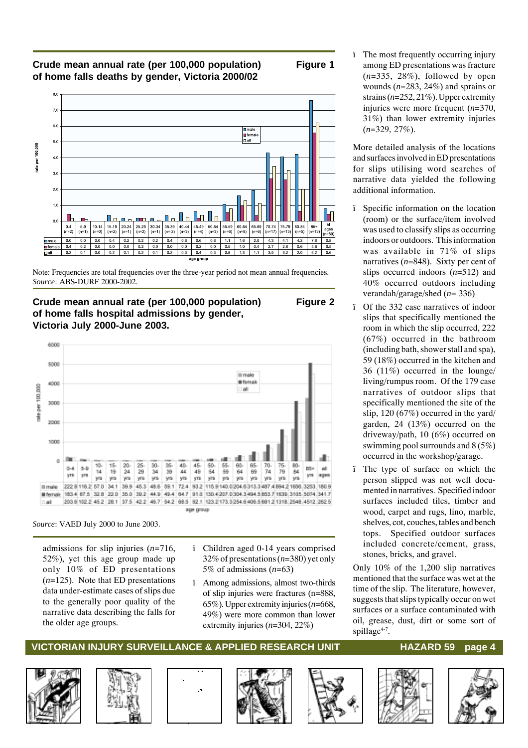#### **Crude mean annual rate (per 100,000 population) Figure 1 of home falls deaths by gender, Victoria 2000/02**



Note: Frequencies are total frequencies over the three-year period not mean annual frequencies. *Source*: ABS-DURF 2000-2002.

**Crude mean annual rate (per 100,000 population) Figure 2 of home falls hospital admissions by gender, Victoria July 2000-June 2003.**



*Source*: VAED July 2000 to June 2003.

admissions for slip injuries (*n*=716, 52%), yet this age group made up only 10% of ED presentations (*n*=125). Note that ED presentations data under-estimate cases of slips due to the generally poor quality of the narrative data describing the falls for the older age groups.

- ï Children aged 0-14 years comprised 32% of presentations (*n*=380) yet only 5% of admissions (*n*=63)
- ï Among admissions, almost two-thirds of slip injuries were fractures (n=888, 65%). Upper extremity injuries (*n*=668, 49%) were more common than lower extremity injuries (*n*=304, 22%)

The most frequently occurring injury among ED presentations was fracture (*n*=335, 28%), followed by open wounds (*n*=283, 24%) and sprains or strains (*n*=252, 21%). Upper extremity injuries were more frequent (*n*=370, 31%) than lower extremity injuries (*n*=329, 27%).

More detailed analysis of the locations and surfaces involved in ED presentations for slips utilising word searches of narrative data yielded the following additional information.

- ï Specific information on the location (room) or the surface/item involved was used to classify slips as occurring indoors or outdoors. This information was available in 71% of slips narratives (*n*=848). Sixty per cent of slips occurred indoors (*n*=512) and 40% occurred outdoors including verandah/garage/shed (*n*= 336)
- ï Of the 332 case narratives of indoor slips that specifically mentioned the room in which the slip occurred, 222 (67%) occurred in the bathroom (including bath, shower stall and spa), 59 (18%) occurred in the kitchen and 36 (11%) occurred in the lounge/ living/rumpus room. Of the 179 case narratives of outdoor slips that specifically mentioned the site of the slip, 120 (67%) occurred in the yard/ garden, 24 (13%) occurred on the driveway/path, 10 (6%) occurred on swimming pool surrounds and 8 (5%) occurred in the workshop/garage.
- ï The type of surface on which the person slipped was not well documented in narratives. Specified indoor surfaces included tiles, timber and wood, carpet and rugs, lino, marble, shelves, cot, couches, tables and bench tops. Specified outdoor surfaces included concrete/cement, grass, stones, bricks, and gravel.

Only 10% of the 1,200 slip narratives mentioned that the surface was wet at the time of the slip. The literature, however, suggests that slips typically occur on wet surfaces or a surface contaminated with oil, grease, dust, dirt or some sort of spillage $4-7$ .













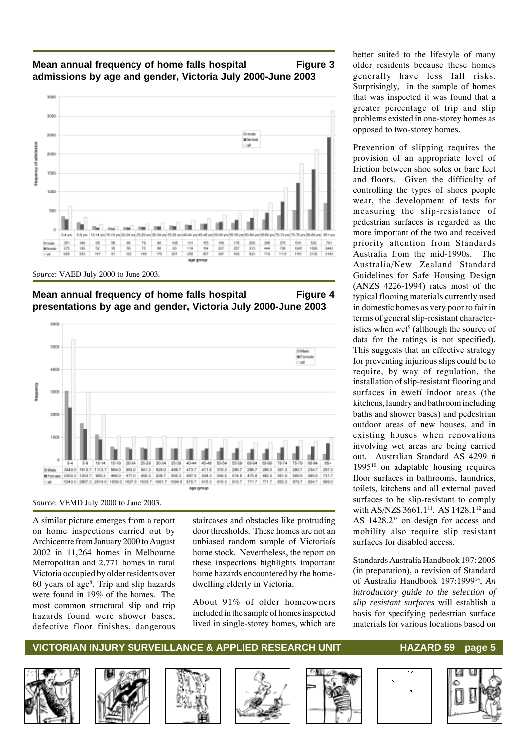### **Mean annual frequency of home falls hospital Figure 3 admissions by age and gender, Victoria July 2000-June 2003**



*Source*: VAED July 2000 to June 2003.





*Source*: VEMD July 2000 to June 2003.

A similar picture emerges from a report on home inspections carried out by Archicentre from January 2000 to August 2002 in 11,264 homes in Melbourne Metropolitan and 2,771 homes in rural Victoria occupied by older residents over 60 years of age8 . Trip and slip hazards were found in 19% of the homes. The most common structural slip and trip hazards found were shower bases, defective floor finishes, dangerous staircases and obstacles like protruding door thresholds. These homes are not an unbiased random sample of Victoriaís home stock. Nevertheless, the report on these inspections highlights important home hazards encountered by the homedwelling elderly in Victoria.

About 91% of older homeowners included in the sample of homes inspected lived in single-storey homes, which are

better suited to the lifestyle of many older residents because these homes generally have less fall risks. Surprisingly, in the sample of homes that was inspected it was found that a greater percentage of trip and slip problems existed in one-storey homes as opposed to two-storey homes.

Prevention of slipping requires the provision of an appropriate level of friction between shoe soles or bare feet and floors. Given the difficulty of controlling the types of shoes people wear, the development of tests for measuring the slip-resistance of pedestrian surfaces is regarded as the more important of the two and received priority attention from Standards Australia from the mid-1990s. The Australia/New Zealand Standard Guidelines for Safe Housing Design (ANZS 4226-1994) rates most of the typical flooring materials currently used in domestic homes as very poor to fair in terms of general slip-resistant characteristics when wet<sup>9</sup> (although the source of data for the ratings is not specified). This suggests that an effective strategy for preventing injurious slips could be to require, by way of regulation, the installation of slip-resistant flooring and surfaces in ëwetí indoor areas (the kitchens, laundry and bathroom including baths and shower bases) and pedestrian outdoor areas of new houses, and in existing houses when renovations involving wet areas are being carried out. Australian Standard AS 4299 ñ  $1995^{10}$  on adaptable housing requires floor surfaces in bathrooms, laundries, toilets, kitchens and all external paved surfaces to be slip-resistant to comply with AS/NZS 3661.1<sup>11</sup>. AS 1428.1<sup>12</sup> and AS 1428.2<sup>13</sup> on design for access and mobility also require slip resistant surfaces for disabled access.

Standards Australia Handbook 197: 2005 (in preparation), a revision of Standard of Australia Handbook 197:199914, *An introductory guide to the selection of slip resistant surfaces* will establish a basis for specifying pedestrian surface materials for various locations based on













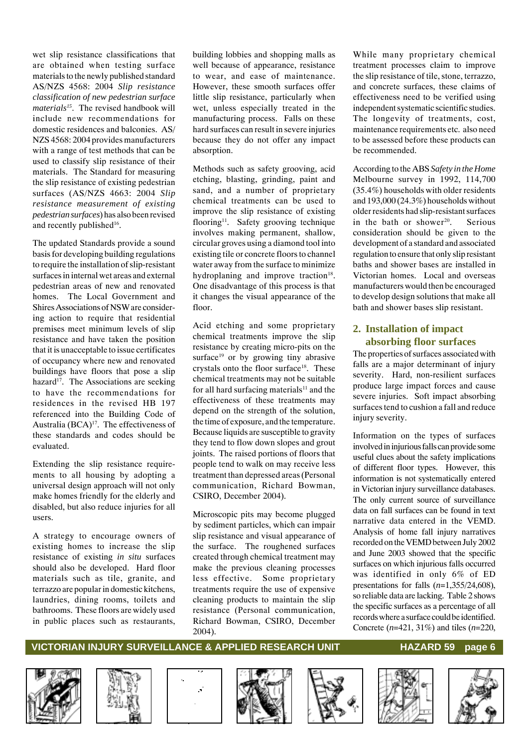wet slip resistance classifications that are obtained when testing surface materials to the newly published standard AS/NZS 4568: 2004 *Slip resistance classification of new pedestrian surface materials15*. The revised handbook will include new recommendations for domestic residences and balconies. AS/ NZS 4568: 2004 provides manufacturers with a range of test methods that can be used to classify slip resistance of their materials. The Standard for measuring the slip resistance of existing pedestrian surfaces (AS/NZS 4663: 2004 *Slip resistance measurement of existing pedestrian surfaces*) has also been revised and recently published<sup>16</sup>.

The updated Standards provide a sound basis for developing building regulations to require the installation of slip-resistant surfaces in internal wet areas and external pedestrian areas of new and renovated homes. The Local Government and Shires Associations of NSW are considering action to require that residential premises meet minimum levels of slip resistance and have taken the position that it is unacceptable to issue certificates of occupancy where new and renovated buildings have floors that pose a slip hazard<sup>17</sup>. The Associations are seeking to have the recommendations for residences in the revised HB 197 referenced into the Building Code of Australia  $(BCA)^{17}$ . The effectiveness of these standards and codes should be evaluated.

Extending the slip resistance requirements to all housing by adopting a universal design approach will not only make homes friendly for the elderly and disabled, but also reduce injuries for all users.

A strategy to encourage owners of existing homes to increase the slip resistance of existing *in situ* surfaces should also be developed. Hard floor materials such as tile, granite, and terrazzo are popular in domestic kitchens, laundries, dining rooms, toilets and bathrooms. These floors are widely used in public places such as restaurants,

building lobbies and shopping malls as well because of appearance, resistance to wear, and ease of maintenance. However, these smooth surfaces offer little slip resistance, particularly when wet, unless especially treated in the manufacturing process. Falls on these hard surfaces can result in severe injuries because they do not offer any impact absorption.

Methods such as safety grooving, acid etching, blasting, grinding, paint and sand, and a number of proprietary chemical treatments can be used to improve the slip resistance of existing flooring<sup>11</sup>. Safety grooving technique involves making permanent, shallow, circular groves using a diamond tool into existing tile or concrete floors to channel water away from the surface to minimize hydroplaning and improve traction<sup>18</sup>. One disadvantage of this process is that it changes the visual appearance of the floor.

Acid etching and some proprietary chemical treatments improve the slip resistance by creating micro-pits on the surface<sup>19</sup> or by growing tiny abrasive crystals onto the floor surface<sup>18</sup>. These chemical treatments may not be suitable for all hard surfacing materials<sup>11</sup> and the effectiveness of these treatments may depend on the strength of the solution, the time of exposure, and the temperature. Because liquids are susceptible to gravity they tend to flow down slopes and grout joints. The raised portions of floors that people tend to walk on may receive less treatment than depressed areas (Personal communication, Richard Bowman, CSIRO, December 2004).

Microscopic pits may become plugged by sediment particles, which can impair slip resistance and visual appearance of the surface. The roughened surfaces created through chemical treatment may make the previous cleaning processes less effective. Some proprietary treatments require the use of expensive cleaning products to maintain the slip resistance (Personal communication, Richard Bowman, CSIRO, December 2004).

While many proprietary chemical treatment processes claim to improve the slip resistance of tile, stone, terrazzo, and concrete surfaces, these claims of effectiveness need to be verified using independent systematic scientific studies. The longevity of treatments, cost, maintenance requirements etc. also need to be assessed before these products can be recommended.

According to the ABS *Safety in the Home* Melbourne survey in 1992, 114,700 (35.4%) households with older residents and 193,000 (24.3%) households without older residents had slip-resistant surfaces in the bath or shower $20$ . Serious consideration should be given to the development of a standard and associated regulation to ensure that only slip resistant baths and shower bases are installed in Victorian homes. Local and overseas manufacturers would then be encouraged to develop design solutions that make all bath and shower bases slip resistant.

#### **2. Installation of impact absorbing floor surfaces**

The properties of surfaces associated with falls are a major determinant of injury severity. Hard, non-resilient surfaces produce large impact forces and cause severe injuries. Soft impact absorbing surfaces tend to cushion a fall and reduce injury severity.

Information on the types of surfaces involved in injurious falls can provide some useful clues about the safety implications of different floor types. However, this information is not systematically entered in Victorian injury surveillance databases. The only current source of surveillance data on fall surfaces can be found in text narrative data entered in the VEMD. Analysis of home fall injury narratives recorded on the VEMD between July 2002 and June 2003 showed that the specific surfaces on which injurious falls occurred was identified in only 6% of ED presentations for falls (*n*=1,355/24,608), so reliable data are lacking. Table 2 shows the specific surfaces as a percentage of all records where a surface could be identified. Concrete (*n*=421, 31%) and tiles (*n*=220,













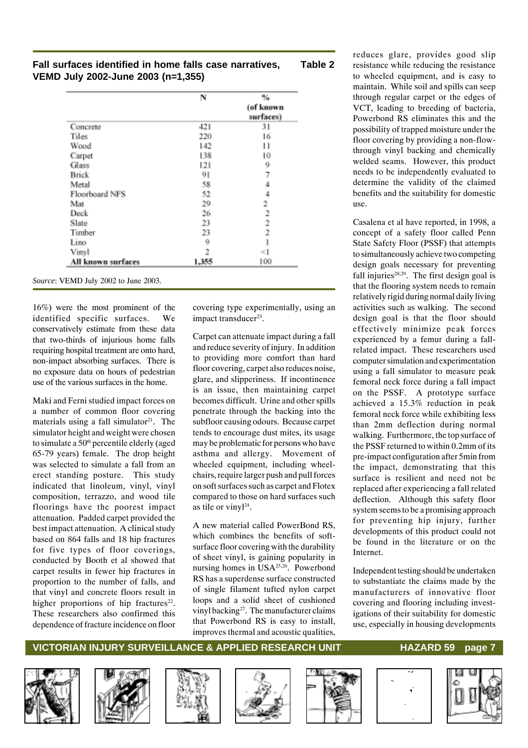#### **Fall surfaces identified in home falls case narratives, Table 2 VEMD July 2002-June 2003 (n=1,355)**

|                    | N     | %<br>(of known<br>surfaces) |
|--------------------|-------|-----------------------------|
| Concrete           | 421   | 31                          |
| Tiles              | 220   | 16                          |
| Wood               | 142   | 11                          |
| Carpet             | 138   | 10                          |
| Glass              | 121   | 9                           |
| <b>Brick</b>       | 91    | 7                           |
| Metal              | 58    | 4                           |
| Floorboard NFS     | 52    | 4                           |
| Mat                | 29    | 2                           |
| Deck               | 26    | $\overline{2}$              |
| Slate              | 23    | 2                           |
| Timber             | 23    | 2                           |
| Lino               | 9     | 1                           |
| Vinyl              | 2     | <1                          |
| All known surfaces | 1,355 | 100                         |

*Source*: VEMD July 2002 to June 2003.

16%) were the most prominent of the identified specific surfaces. We conservatively estimate from these data that two-thirds of injurious home falls requiring hospital treatment are onto hard, non-impact absorbing surfaces. There is no exposure data on hours of pedestrian use of the various surfaces in the home.

Maki and Ferni studied impact forces on a number of common floor covering materials using a fall simulator $21$ . The simulator height and weight were chosen to simulate a 50<sup>th</sup> percentile elderly (aged 65-79 years) female. The drop height was selected to simulate a fall from an erect standing posture. This study indicated that linoleum, vinyl, vinyl composition, terrazzo, and wood tile floorings have the poorest impact attenuation. Padded carpet provided the best impact attenuation. A clinical study based on 864 falls and 18 hip fractures for five types of floor coverings, conducted by Booth et al showed that carpet results in fewer hip fractures in proportion to the number of falls, and that vinyl and concrete floors result in higher proportions of hip fractures<sup>22</sup>. These researchers also confirmed this dependence of fracture incidence on floor

covering type experimentally, using an impact transducer<sup>23</sup>.

Carpet can attenuate impact during a fall and reduce severity of injury. In addition to providing more comfort than hard floor covering, carpet also reduces noise, glare, and slipperiness. If incontinence is an issue, then maintaining carpet becomes difficult. Urine and other spills penetrate through the backing into the subfloor causing odours. Because carpet tends to encourage dust mites, its usage may be problematic for persons who have asthma and allergy. Movement of wheeled equipment, including wheelchairs, require larger push and pull forces on soft surfaces such as carpet and Flotex compared to those on hard surfaces such as tile or vinyl<sup>24</sup>.

A new material called PowerBond RS, which combines the benefits of softsurface floor covering with the durability of sheet vinyl, is gaining popularity in nursing homes in USA25,26. Powerbond RS has a superdense surface constructed of single filament tufted nylon carpet loops and a solid sheet of cushioned vinyl backing<sup>27</sup>. The manufacturer claims that Powerbond RS is easy to install, improves thermal and acoustic qualities,

reduces glare, provides good slip resistance while reducing the resistance to wheeled equipment, and is easy to maintain. While soil and spills can seep through regular carpet or the edges of VCT, leading to breeding of bacteria, Powerbond RS eliminates this and the possibility of trapped moisture under the floor covering by providing a non-flowthrough vinyl backing and chemically welded seams. However, this product needs to be independently evaluated to determine the validity of the claimed benefits and the suitability for domestic use.

Casalena et al have reported, in 1998, a concept of a safety floor called Penn State Safety Floor (PSSF) that attempts to simultaneously achieve two competing design goals necessary for preventing fall injuries $28,29$ . The first design goal is that the flooring system needs to remain relatively rigid during normal daily living activities such as walking. The second design goal is that the floor should effectively minimize peak forces experienced by a femur during a fallrelated impact. These researchers used computer simulation and experimentation using a fall simulator to measure peak femoral neck force during a fall impact on the PSSF. A prototype surface achieved a 15.3% reduction in peak femoral neck force while exhibiting less than 2mm deflection during normal walking. Furthermore, the top surface of the PSSF returned to within 0.2mm of its pre-impact configuration after 5min from the impact, demonstrating that this surface is resilient and need not be replaced after experiencing a fall related deflection. Although this safety floor system seems to be a promising approach for preventing hip injury, further developments of this product could not be found in the literature or on the Internet.

Independent testing should be undertaken to substantiate the claims made by the manufacturers of innovative floor covering and flooring including investigations of their suitability for domestic use, especially in housing developments













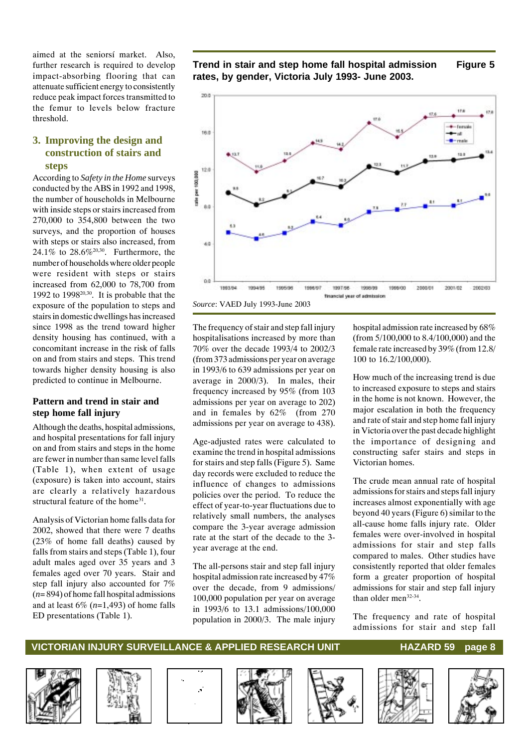aimed at the seniorsí market. Also, further research is required to develop impact-absorbing flooring that can attenuate sufficient energy to consistently reduce peak impact forces transmitted to the femur to levels below fracture threshold.

#### **3. Improving the design and construction of stairs and steps**

According to *Safety in the Home* surveys conducted by the ABS in 1992 and 1998, the number of households in Melbourne with inside steps or stairs increased from 270,000 to 354,800 between the two surveys, and the proportion of houses with steps or stairs also increased, from 24.1% to 28.6%20,30. Furthermore, the number of households where older people were resident with steps or stairs increased from 62,000 to 78,700 from 1992 to 199820,30. It is probable that the exposure of the population to steps and stairs in domestic dwellings has increased since 1998 as the trend toward higher density housing has continued, with a concomitant increase in the risk of falls on and from stairs and steps. This trend towards higher density housing is also predicted to continue in Melbourne.

#### **Pattern and trend in stair and step home fall injury**

Although the deaths, hospital admissions, and hospital presentations for fall injury on and from stairs and steps in the home are fewer in number than same level falls (Table 1), when extent of usage (exposure) is taken into account, stairs are clearly a relatively hazardous structural feature of the home<sup>31</sup>.

Analysis of Victorian home falls data for 2002, showed that there were 7 deaths (23% of home fall deaths) caused by falls from stairs and steps (Table 1), four adult males aged over 35 years and 3 females aged over 70 years. Stair and step fall injury also accounted for 7% (*n*= 894) of home fall hospital admissions and at least 6% (*n*=1,493) of home falls ED presentations (Table 1).





*Source*: VAED July 1993-June 2003

The frequency of stair and step fall injury hospitalisations increased by more than 70% over the decade 1993/4 to 2002/3 (from 373 admissions per year on average in 1993/6 to 639 admissions per year on average in 2000/3). In males, their frequency increased by 95% (from 103 admissions per year on average to 202) and in females by 62% (from 270 admissions per year on average to 438).

Age-adjusted rates were calculated to examine the trend in hospital admissions for stairs and step falls (Figure 5). Same day records were excluded to reduce the influence of changes to admissions policies over the period. To reduce the effect of year-to-year fluctuations due to relatively small numbers, the analyses compare the 3-year average admission rate at the start of the decade to the 3 year average at the end.

The all-persons stair and step fall injury hospital admission rate increased by 47% over the decade, from 9 admissions/ 100,000 population per year on average in 1993/6 to 13.1 admissions/100,000 population in 2000/3. The male injury hospital admission rate increased by 68% (from 5/100,000 to 8.4/100,000) and the female rate increased by 39% (from 12.8/ 100 to 16.2/100,000).

How much of the increasing trend is due to increased exposure to steps and stairs in the home is not known. However, the major escalation in both the frequency and rate of stair and step home fall injury in Victoria over the past decade highlight the importance of designing and constructing safer stairs and steps in Victorian homes.

The crude mean annual rate of hospital admissions for stairs and steps fall injury increases almost exponentially with age beyond 40 years (Figure 6) similar to the all-cause home falls injury rate. Older females were over-involved in hospital admissions for stair and step falls compared to males. Other studies have consistently reported that older females form a greater proportion of hospital admissions for stair and step fall injury than older men<sup>32-34</sup>.

The frequency and rate of hospital admissions for stair and step fall













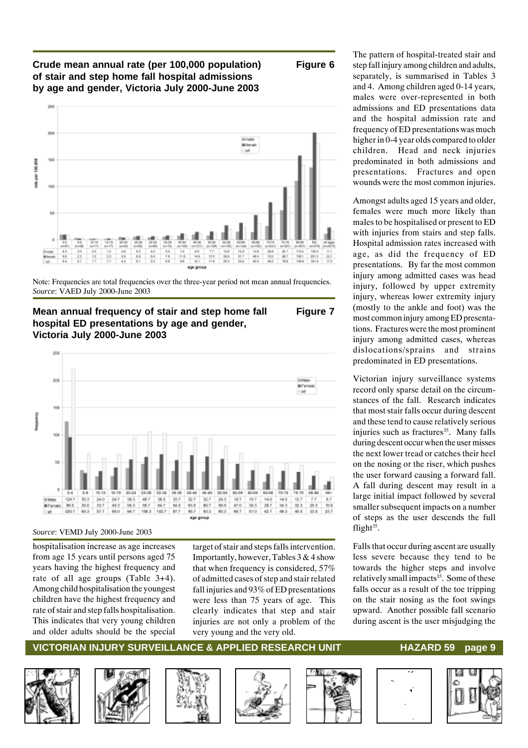#### **Crude mean annual rate (per 100,000 population) Figure 6 of stair and step home fall hospital admissions by age and gender, Victoria July 2000-June 2003**



Note: Frequencies are total frequencies over the three-year period not mean annual frequencies. *Source*: VAED July 2000-June 2003

#### **Mean annual frequency of stair and step home fall Figure 7 hospital ED presentations by age and gender, Victoria July 2000-June 2003**



#### *Source*: VEMD July 2000-June 2003

hospitalisation increase as age increases from age 15 years until persons aged 75 years having the highest frequency and rate of all age groups (Table 3+4). Among child hospitalisation the youngest children have the highest frequency and rate of stair and step falls hospitalisation. This indicates that very young children and older adults should be the special

target of stair and steps falls intervention. Importantly, however, Tables 3 & 4 show that when frequency is considered, 57% of admitted cases of step and stair related fall injuries and 93% of ED presentations were less than 75 years of age. This clearly indicates that step and stair injuries are not only a problem of the very young and the very old.

The pattern of hospital-treated stair and step fall injury among children and adults, separately, is summarised in Tables 3 and 4. Among children aged 0-14 years, males were over-represented in both admissions and ED presentations data and the hospital admission rate and frequency of ED presentations was much higher in 0-4 year olds compared to older children. Head and neck injuries predominated in both admissions and presentations. Fractures and open wounds were the most common injuries.

Amongst adults aged 15 years and older, females were much more likely than males to be hospitalised or present to ED with injuries from stairs and step falls. Hospital admission rates increased with age, as did the frequency of ED presentations. By far the most common injury among admitted cases was head injury, followed by upper extremity injury, whereas lower extremity injury (mostly to the ankle and foot) was the most common injury among ED presentations. Fractures were the most prominent injury among admitted cases, whereas dislocations/sprains and strains predominated in ED presentations.

Victorian injury surveillance systems record only sparse detail on the circumstances of the fall. Research indicates that most stair falls occur during descent and these tend to cause relatively serious injuries such as fractures<sup>35</sup>. Many falls during descent occur when the user misses the next lower tread or catches their heel on the nosing or the riser, which pushes the user forward causing a forward fall. A fall during descent may result in a large initial impact followed by several smaller subsequent impacts on a number of steps as the user descends the full flight $35$ .

Falls that occur during ascent are usually less severe because they tend to be towards the higher steps and involve relatively small impacts<sup>35</sup>. Some of these falls occur as a result of the toe tripping on the stair nosing as the foot swings upward. Another possible fall scenario during ascent is the user misjudging the













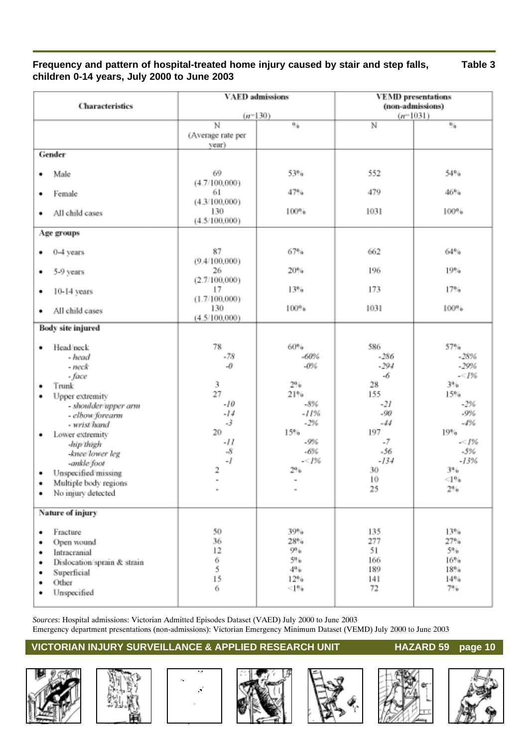### **Frequency and pattern of hospital-treated home injury caused by stair and step falls, Table 3 children 0-14 years, July 2000 to June 2003**

|                                  | <b>VAED</b> admissions      |                     | <b>VEMD</b> presentations |               |  |
|----------------------------------|-----------------------------|---------------------|---------------------------|---------------|--|
| Characteristics                  |                             |                     | (non-admissions)          |               |  |
|                                  | $(n=130)$<br>$\overline{N}$ |                     | $\overline{\mathbb{N}}$   | $(n=1031)$    |  |
|                                  | (Average rate per           | %                   |                           | $^{0.6}$      |  |
|                                  | year)                       |                     |                           |               |  |
| Gender                           |                             |                     |                           |               |  |
|                                  |                             |                     |                           |               |  |
| Male<br>٠                        | 69                          | 53%                 | 552                       | 54%           |  |
|                                  | (4.7/100,000)               |                     |                           |               |  |
| Female<br>٠                      | 61                          | 47%                 | 479                       | 46%           |  |
|                                  | (4.3/100,000)               |                     |                           |               |  |
| All child cases<br>٠             | 130<br>(4.5/100,000)        | 100%                | 1031                      | 100%          |  |
|                                  |                             |                     |                           |               |  |
| Age groups                       |                             |                     |                           |               |  |
| 0-4 years<br>٠                   | 87                          | 67%                 | 662                       | 64%           |  |
|                                  | (9.4/100,000)               |                     |                           |               |  |
| 5-9 years<br>٠                   | 26                          | 20%                 | 196                       | 19%           |  |
|                                  | (2.7/100,000)               |                     |                           |               |  |
| 10-14 years<br>٠                 | 17                          | 13%                 | 173                       | 17%           |  |
|                                  | (1.7/100,000)               |                     |                           |               |  |
| All child cases<br>٠             | 130<br>(4.5/100,000)        | 100%                | 1031                      | 100%          |  |
| <b>Body site injured</b>         |                             |                     |                           |               |  |
|                                  |                             |                     |                           |               |  |
| Head/neck<br>٠                   | 78                          | 60%                 | 586                       | 57%           |  |
| - head                           | $-78$                       | $-60%$              | -286                      | $-28%$        |  |
| - neck                           | -0                          | $-0\%$              | $-294$                    | $-29%$        |  |
| - face                           |                             |                     | -6                        | $-<1\%$       |  |
| Trunk<br>٠                       | 3<br>27                     | 2%<br>21%           | 28<br>155                 | 3%            |  |
| Upper extremity<br>٠             | $-10$                       | $-8%$               | -21                       | 15%<br>$-2\%$ |  |
| - shoulder/upper arm             | $-14$                       | $-11%$              | $-90$                     | $-9%$         |  |
| - elbow/forearm<br>- wrist/hand  | $-3$                        | $-2%$               | $-44$                     | $-4%$         |  |
| Lower extremity<br>٠             | 20                          | 15%                 | 197                       | 19%           |  |
| -hip/thigh                       | -11                         | $-9%$               | $-7$                      | $-1\%$        |  |
| -knee/lower leg                  | -8                          | $\boldsymbol{.6\%}$ | $-56$                     | -3%           |  |
| -ankle/foot                      | -1                          | $-<1\%$             | $-134$                    | $-13%$        |  |
| Unspecified/missing<br>٠         | 2                           | 2%                  | 30                        | 3%            |  |
| Multiple body regions<br>٠       | ÷                           | $\bar{a}$           | 10<br>25                  | <1%<br>$2\%$  |  |
| No injury detected<br>٠          |                             |                     |                           |               |  |
|                                  |                             |                     |                           |               |  |
| Nature of injury                 |                             |                     |                           |               |  |
| Fracture<br>٠                    | 50                          | 39%                 | 135                       | 13%           |  |
| Open wound<br>٠                  | 36                          | 28%                 | 277                       | 27%           |  |
| Intracranial<br>٠                | 12                          | 9%                  | 51                        | $5\%$         |  |
| Dislocation/sprain & strain<br>٠ | 6                           | 5%                  | 166                       | 16%           |  |
| Superficial<br>٠                 | 5                           | 4%                  | 189                       | 18%           |  |
| Other<br>٠                       | 15<br>6                     | 12%                 | 141                       | 14%           |  |
| Unspecified<br>٠                 |                             | <1%                 | 72                        | 7%            |  |
|                                  |                             |                     |                           |               |  |

*Sources*: Hospital admissions: Victorian Admitted Episodes Dataset (VAED) July 2000 to June 2003 Emergency department presentations (non-admissions): Victorian Emergency Minimum Dataset (VEMD) July 2000 to June 2003











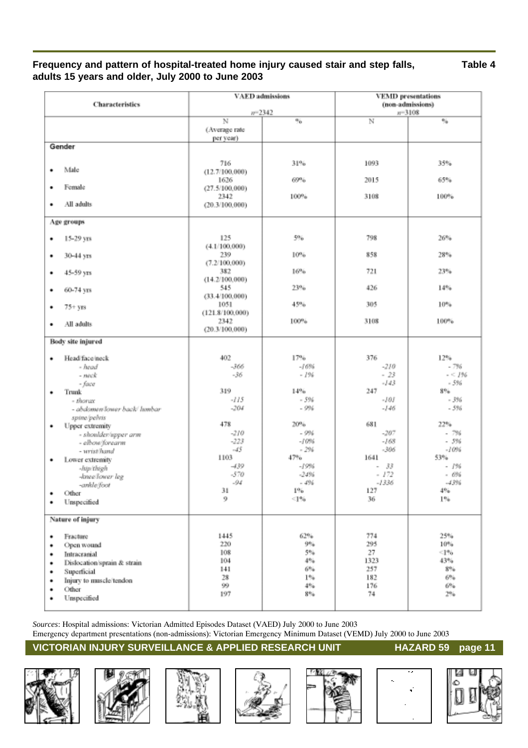### **Frequency and pattern of hospital-treated home injury caused stair and step falls, Table 4 adults 15 years and older, July 2000 to June 2003**

| <b>Characteristics</b>                                                                                                                                                                                                                                                                                                   | <b>VAED</b> admissions                                                                                                          |                                                                                                                                   | <b>VEMD</b> presentations<br>(non-admissions)                                                                                                       |                                                                                                                                               |  |
|--------------------------------------------------------------------------------------------------------------------------------------------------------------------------------------------------------------------------------------------------------------------------------------------------------------------------|---------------------------------------------------------------------------------------------------------------------------------|-----------------------------------------------------------------------------------------------------------------------------------|-----------------------------------------------------------------------------------------------------------------------------------------------------|-----------------------------------------------------------------------------------------------------------------------------------------------|--|
|                                                                                                                                                                                                                                                                                                                          | $n = 2342$                                                                                                                      |                                                                                                                                   |                                                                                                                                                     | $n = 3108$                                                                                                                                    |  |
|                                                                                                                                                                                                                                                                                                                          | N<br>(Average rate<br>per year)                                                                                                 | 96                                                                                                                                | N                                                                                                                                                   | %                                                                                                                                             |  |
| Gender                                                                                                                                                                                                                                                                                                                   |                                                                                                                                 |                                                                                                                                   |                                                                                                                                                     |                                                                                                                                               |  |
| Male<br>٠                                                                                                                                                                                                                                                                                                                | 716<br>(12.7/100,000)                                                                                                           | 31%                                                                                                                               | 1093                                                                                                                                                | 35%                                                                                                                                           |  |
| Female<br>٠                                                                                                                                                                                                                                                                                                              | 1626<br>(27.5/100,000)                                                                                                          | 69%                                                                                                                               | 2015                                                                                                                                                | 65%                                                                                                                                           |  |
| All adults<br>٠                                                                                                                                                                                                                                                                                                          | 2342<br>(20.3/100,000)                                                                                                          | 100%                                                                                                                              | 3108                                                                                                                                                | 100%                                                                                                                                          |  |
| Age groups                                                                                                                                                                                                                                                                                                               |                                                                                                                                 |                                                                                                                                   |                                                                                                                                                     |                                                                                                                                               |  |
| 15-29 yrs<br>۰                                                                                                                                                                                                                                                                                                           | 125                                                                                                                             | 5%                                                                                                                                | 798                                                                                                                                                 | 26%                                                                                                                                           |  |
| 30-44 угз<br>٠                                                                                                                                                                                                                                                                                                           | (4.1/100,000)<br>239<br>(7.2/100,000)                                                                                           | 10%                                                                                                                               | 858                                                                                                                                                 | 28%                                                                                                                                           |  |
| 45-59 yrs<br>٠                                                                                                                                                                                                                                                                                                           | 382<br>(14.2/100,000)                                                                                                           | 16%                                                                                                                               | 721                                                                                                                                                 | 23%                                                                                                                                           |  |
| 60-74 yrs<br>٠                                                                                                                                                                                                                                                                                                           | 545<br>(33.4/100,000)                                                                                                           | 23%                                                                                                                               | 426                                                                                                                                                 | 14%                                                                                                                                           |  |
| $75 + yrs$<br>٠                                                                                                                                                                                                                                                                                                          | 1051<br>(121.8/100,000)                                                                                                         | 45%                                                                                                                               | 305                                                                                                                                                 | 10%                                                                                                                                           |  |
| All adults<br>٠                                                                                                                                                                                                                                                                                                          | 2342<br>(20.3/100.000)                                                                                                          | 100%                                                                                                                              | 3108                                                                                                                                                | 100%                                                                                                                                          |  |
| Body site injured                                                                                                                                                                                                                                                                                                        |                                                                                                                                 |                                                                                                                                   |                                                                                                                                                     |                                                                                                                                               |  |
| Head face/neck<br>٠<br>- head<br>- neck<br>- face<br>Trunk<br>٠<br>- thorax<br>- abdomen/lower back/ lumbar<br>spine/pelvis<br>Upper extremity<br>٠<br>- shoulder/upper arm<br>- elbow/forearm<br>- urist/hand<br>Lower extremity<br>٠<br>-Jap/thigh<br>-knee/lower leg<br>-ankle/foot<br>Other<br>٠<br>Unspecified<br>٠ | 402<br>-366<br>-36<br>319<br>$-115$<br>$-204$<br>478<br>$-210$<br>$-223$<br>$-45$<br>1103<br>-439<br>$-570$<br>$-94$<br>31<br>9 | 17%<br>-16%<br>$-1%$<br>14%<br>$-5%$<br>$-9%$<br>20%<br>$-9%$<br>$-10%$<br>$-296$<br>47%<br>-19%<br>$-24%$<br>$-496$<br>1%<br><1% | 376<br>$-210$<br>$-23$<br>$-143$<br>247<br>$-101$<br>$-146$<br>681<br>$-207$<br>$-168$<br>$-306$<br>1641<br>$-33$<br>$-172$<br>$-1336$<br>127<br>36 | 12%<br>$-796$<br>$- < 196$<br>$-5%$<br>896<br>- 3%<br>$-5%$<br>22%<br>$-796$<br>- 5%<br>$-10%$<br>53%<br>$-1%$<br>- 696<br>$-43%$<br>4%<br>1% |  |
| Nature of injury<br>Fracture<br>٠<br>Open wound<br>٠<br>Intracramial<br>٠<br>Dislocation/sprain & strain<br>٠<br>Superficial<br>٠<br>Injury to muscle/tendon<br>٠<br>Other<br>٠<br>Unspecified<br>٠                                                                                                                      | 1445<br>220<br>108<br>104<br>141<br>28<br>99<br>197                                                                             | 62%<br>9%<br>5%<br>4%<br>6%<br>1%<br>4%<br>8%                                                                                     | 774<br>295<br>27<br>1323<br>257<br>182<br>176<br>74                                                                                                 | 25%<br>10%<br>$\leq$ 1%<br>43%<br>8%<br>6%<br>6%<br>2%                                                                                        |  |

*Sources*: Hospital admissions: Victorian Admitted Episodes Dataset (VAED) July 2000 to June 2003 Emergency department presentations (non-admissions): Victorian Emergency Minimum Dataset (VEMD) July 2000 to June 2003











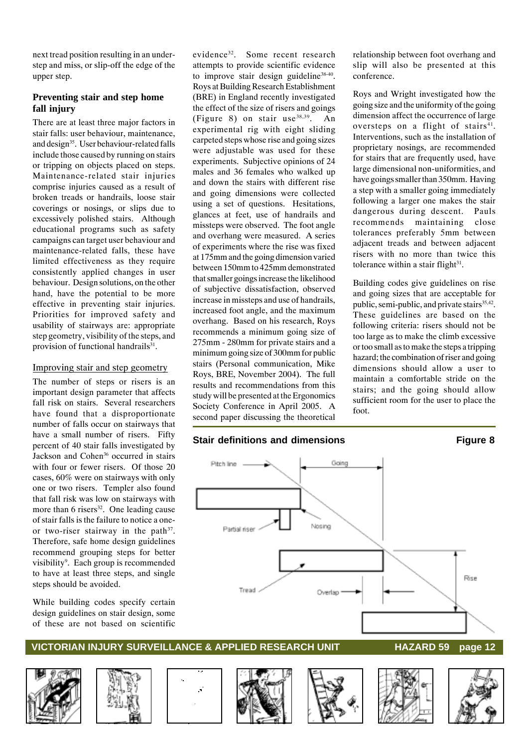next tread position resulting in an understep and miss, or slip-off the edge of the upper step.

#### **Preventing stair and step home fall injury**

There are at least three major factors in stair falls: user behaviour, maintenance, and design<sup>35</sup>. User behaviour-related falls include those caused by running on stairs or tripping on objects placed on steps. Maintenance-related stair injuries comprise injuries caused as a result of broken treads or handrails, loose stair coverings or nosings, or slips due to excessively polished stairs. Although educational programs such as safety campaigns can target user behaviour and maintenance-related falls, these have limited effectiveness as they require consistently applied changes in user behaviour. Design solutions, on the other hand, have the potential to be more effective in preventing stair injuries. Priorities for improved safety and usability of stairways are: appropriate step geometry, visibility of the steps, and provision of functional handrails<sup>31</sup>.

#### Improving stair and step geometry

The number of steps or risers is an important design parameter that affects fall risk on stairs. Several researchers have found that a disproportionate number of falls occur on stairways that have a small number of risers. Fifty percent of 40 stair falls investigated by Jackson and Cohen36 occurred in stairs with four or fewer risers. Of those 20 cases, 60% were on stairways with only one or two risers. Templer also found that fall risk was low on stairways with more than 6 risers $32$ . One leading cause of stair falls is the failure to notice a oneor two-riser stairway in the path<sup>37</sup>. Therefore, safe home design guidelines recommend grouping steps for better visibility<sup>9</sup>. Each group is recommended to have at least three steps, and single steps should be avoided.

While building codes specify certain design guidelines on stair design, some of these are not based on scientific

evidence<sup>32</sup>. Some recent research attempts to provide scientific evidence to improve stair design guideline<sup>38-40</sup>. Roys at Building Research Establishment (BRE) in England recently investigated the effect of the size of risers and goings (Figure 8) on stair use  $38,39$ . An experimental rig with eight sliding carpeted steps whose rise and going sizes were adjustable was used for these experiments. Subjective opinions of 24 males and 36 females who walked up and down the stairs with different rise and going dimensions were collected using a set of questions. Hesitations, glances at feet, use of handrails and missteps were observed. The foot angle and overhang were measured. A series of experiments where the rise was fixed at 175mm and the going dimension varied between 150mm to 425mm demonstrated that smaller goings increase the likelihood of subjective dissatisfaction, observed increase in missteps and use of handrails, increased foot angle, and the maximum overhang. Based on his research, Roys recommends a minimum going size of 275mm - 280mm for private stairs and a minimum going size of 300mm for public stairs (Personal communication, Mike Roys, BRE, November 2004). The full results and recommendations from this study will be presented at the Ergonomics Society Conference in April 2005. A second paper discussing the theoretical

#### **Stair definitions and dimensions Figure 8**

relationship between foot overhang and slip will also be presented at this conference.

Roys and Wright investigated how the going size and the uniformity of the going dimension affect the occurrence of large oversteps on a flight of stairs $41$ . Interventions, such as the installation of proprietary nosings, are recommended for stairs that are frequently used, have large dimensional non-uniformities, and have goings smaller than 350mm. Having a step with a smaller going immediately following a larger one makes the stair dangerous during descent. Pauls recommends maintaining close tolerances preferably 5mm between adjacent treads and between adjacent risers with no more than twice this tolerance within a stair flight $31$ .

Building codes give guidelines on rise and going sizes that are acceptable for public, semi-public, and private stairs<sup>35,42</sup>. These guidelines are based on the following criteria: risers should not be too large as to make the climb excessive or too small as to make the steps a tripping hazard; the combination of riser and going dimensions should allow a user to maintain a comfortable stride on the stairs; and the going should allow sufficient room for the user to place the foot.













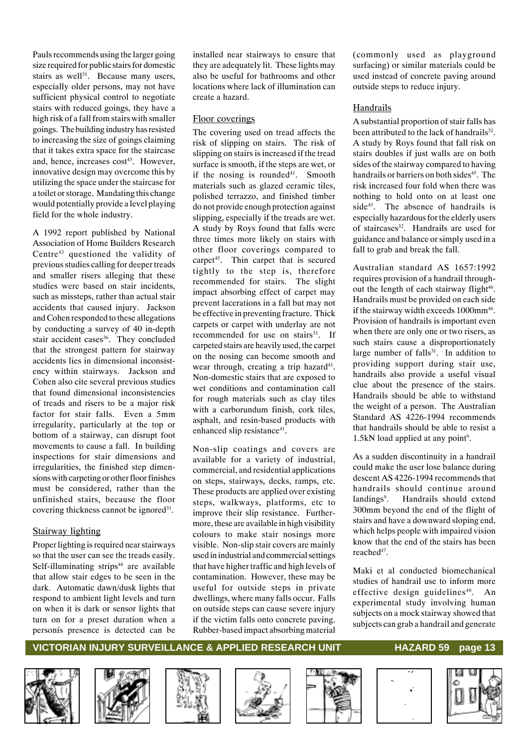Pauls recommends using the larger going size required for public stairs for domestic stairs as well $31$ . Because many users, especially older persons, may not have sufficient physical control to negotiate stairs with reduced goings, they have a high risk of a fall from stairs with smaller goings. The building industry has resisted to increasing the size of goings claiming that it takes extra space for the staircase and, hence, increases  $cost^{43}$ . However, innovative design may overcome this by utilizing the space under the staircase for a toilet or storage. Mandating this change would potentially provide a level playing field for the whole industry.

A 1992 report published by National Association of Home Builders Research Centre<sup>43</sup> questioned the validity of previous studies calling for deeper treads and smaller risers alleging that these studies were based on stair incidents, such as missteps, rather than actual stair accidents that caused injury. Jackson and Cohen responded to these allegations by conducting a survey of 40 in-depth stair accident cases<sup>36</sup>. They concluded that the strongest pattern for stairway accidents lies in dimensional inconsistency within stairways. Jackson and Cohen also cite several previous studies that found dimensional inconsistencies of treads and risers to be a major risk factor for stair falls. Even a 5mm irregularity, particularly at the top or bottom of a stairway, can disrupt foot movements to cause a fall. In building inspections for stair dimensions and irregularities, the finished step dimensions with carpeting or other floor finishes must be considered, rather than the unfinished stairs, because the floor covering thickness cannot be ignored<sup>31</sup>.

#### Stairway lighting

Proper lighting is required near stairways so that the user can see the treads easily. Self-illuminating strips $44$  are available that allow stair edges to be seen in the dark. Automatic dawn/dusk lights that respond to ambient light levels and turn on when it is dark or sensor lights that turn on for a preset duration when a personís presence is detected can be

installed near stairways to ensure that they are adequately lit. These lights may also be useful for bathrooms and other locations where lack of illumination can create a hazard.

#### Floor coverings

The covering used on tread affects the risk of slipping on stairs. The risk of slipping on stairs is increased if the tread surface is smooth, if the steps are wet, or if the nosing is rounded $41$ . Smooth materials such as glazed ceramic tiles, polished terrazzo, and finished timber do not provide enough protection against slipping, especially if the treads are wet. A study by Roys found that falls were three times more likely on stairs with other floor coverings compared to carpet<sup>45</sup>. Thin carpet that is secured tightly to the step is, therefore recommended for stairs. The slight impact absorbing effect of carpet may prevent lacerations in a fall but may not be effective in preventing fracture. Thick carpets or carpet with underlay are not recommended for use on stairs<sup>31</sup>. If carpeted stairs are heavily used, the carpet on the nosing can become smooth and wear through, creating a trip hazard<sup>41</sup>. Non-domestic stairs that are exposed to wet conditions and contamination call for rough materials such as clay tiles with a carborundum finish, cork tiles, asphalt, and resin-based products with enhanced slip resistance<sup>41</sup>.

Non-slip coatings and covers are available for a variety of industrial, commercial, and residential applications on steps, stairways, decks, ramps, etc. These products are applied over existing steps, walkways, platforms, etc to improve their slip resistance. Furthermore, these are available in high visibility colours to make stair nosings more visible. Non-slip stair covers are mainly used in industrial and commercial settings that have higher traffic and high levels of contamination. However, these may be useful for outside steps in private dwellings, where many falls occur. Falls on outside steps can cause severe injury if the victim falls onto concrete paving. Rubber-based impact absorbing material (commonly used as playground surfacing) or similar materials could be used instead of concrete paving around outside steps to reduce injury.

#### Handrails

A substantial proportion of stair falls has been attributed to the lack of handrails<sup>32</sup>. A study by Roys found that fall risk on stairs doubles if just walls are on both sides of the stairway compared to having handrails or barriers on both sides<sup>45</sup>. The risk increased four fold when there was nothing to hold onto on at least one side<sup>45</sup>. The absence of handrails is especially hazardous for the elderly users of staircases<sup>32</sup>. Handrails are used for guidance and balance or simply used in a fall to grab and break the fall.

Australian standard AS 1657:1992 requires provision of a handrail throughout the length of each stairway flight<sup>46</sup>. Handrails must be provided on each side if the stairway width exceeds 1000mm<sup>46</sup>. Provision of handrails is important even when there are only one or two risers, as such stairs cause a disproportionately large number of falls $31$ . In addition to providing support during stair use, handrails also provide a useful visual clue about the presence of the stairs. Handrails should be able to withstand the weight of a person. The Australian Standard AS 4226-1994 recommends that handrails should be able to resist a  $1.5kN$  load applied at any point<sup>9</sup>.

As a sudden discontinuity in a handrail could make the user lose balance during descent AS 4226-1994 recommends that handrails should continue around landings<sup>9</sup>. . Handrails should extend 300mm beyond the end of the flight of stairs and have a downward sloping end, which helps people with impaired vision know that the end of the stairs has been reached47.

Maki et al conducted biomechanical studies of handrail use to inform more effective design guidelines<sup>48</sup>. An experimental study involving human subjects on a mock stairway showed that subjects can grab a handrail and generate













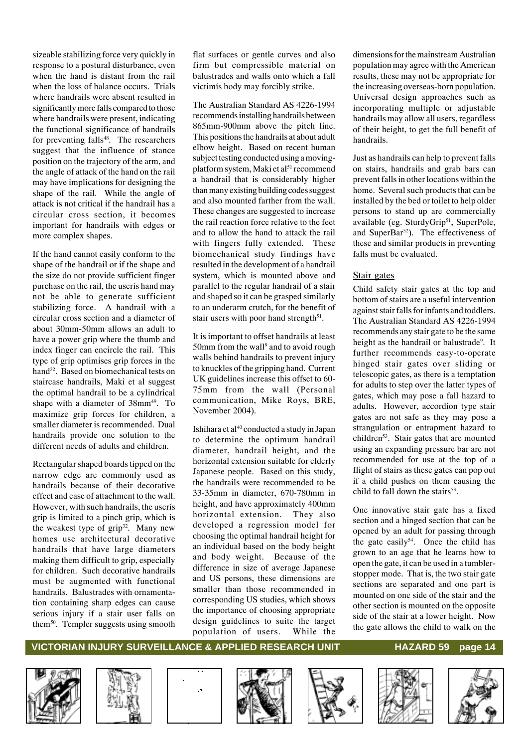sizeable stabilizing force very quickly in response to a postural disturbance, even when the hand is distant from the rail when the loss of balance occurs. Trials where handrails were absent resulted in significantly more falls compared to those where handrails were present, indicating the functional significance of handrails for preventing falls $48$ . The researchers suggest that the influence of stance position on the trajectory of the arm, and the angle of attack of the hand on the rail may have implications for designing the shape of the rail. While the angle of attack is not critical if the handrail has a circular cross section, it becomes important for handrails with edges or more complex shapes.

If the hand cannot easily conform to the shape of the handrail or if the shape and the size do not provide sufficient finger purchase on the rail, the userís hand may not be able to generate sufficient stabilizing force. A handrail with a circular cross section and a diameter of about 30mm-50mm allows an adult to have a power grip where the thumb and index finger can encircle the rail. This type of grip optimises grip forces in the hand<sup>32</sup>. Based on biomechanical tests on staircase handrails, Maki et al suggest the optimal handrail to be a cylindrical shape with a diameter of 38mm<sup>49</sup>. To maximize grip forces for children, a smaller diameter is recommended. Dual handrails provide one solution to the different needs of adults and children.

Rectangular shaped boards tipped on the narrow edge are commonly used as handrails because of their decorative effect and ease of attachment to the wall. However, with such handrails, the userís grip is limited to a pinch grip, which is the weakest type of  $grip^{32}$ . Many new homes use architectural decorative handrails that have large diameters making them difficult to grip, especially for children. Such decorative handrails must be augmented with functional handrails. Balustrades with ornamentation containing sharp edges can cause serious injury if a stair user falls on them<sup>50</sup>. Templer suggests using smooth flat surfaces or gentle curves and also firm but compressible material on balustrades and walls onto which a fall victimís body may forcibly strike.

The Australian Standard AS 4226-1994 recommends installing handrails between 865mm-900mm above the pitch line. This positions the handrails at about adult elbow height. Based on recent human subject testing conducted using a movingplatform system, Maki et al<sup>51</sup> recommend a handrail that is considerably higher than many existing building codes suggest and also mounted farther from the wall. These changes are suggested to increase the rail reaction force relative to the feet and to allow the hand to attack the rail with fingers fully extended. These biomechanical study findings have resulted in the development of a handrail system, which is mounted above and parallel to the regular handrail of a stair and shaped so it can be grasped similarly to an underarm crutch, for the benefit of stair users with poor hand strength $51$ .

It is important to offset handrails at least 50mm from the wall<sup>9</sup> and to avoid rough walls behind handrails to prevent injury to knuckles of the gripping hand. Current UK guidelines increase this offset to 60- 75mm from the wall (Personal communication, Mike Roys, BRE, November 2004).

Ishihara et al<sup>40</sup> conducted a study in Japan to determine the optimum handrail diameter, handrail height, and the horizontal extension suitable for elderly Japanese people. Based on this study, the handrails were recommended to be 33-35mm in diameter, 670-780mm in height, and have approximately 400mm horizontal extension. They also developed a regression model for choosing the optimal handrail height for an individual based on the body height and body weight. Because of the difference in size of average Japanese and US persons, these dimensions are smaller than those recommended in corresponding US studies, which shows the importance of choosing appropriate design guidelines to suite the target population of users. While the

dimensions for the mainstream Australian population may agree with the American results, these may not be appropriate for the increasing overseas-born population. Universal design approaches such as incorporating multiple or adjustable handrails may allow all users, regardless of their height, to get the full benefit of handrails.

Just as handrails can help to prevent falls on stairs, handrails and grab bars can prevent falls in other locations within the home. Several such products that can be installed by the bed or toilet to help older persons to stand up are commercially available (eg. SturdyGrip<sup>51</sup>, SuperPole, and SuperBar<sup>52</sup>). The effectiveness of these and similar products in preventing falls must be evaluated.

#### Stair gates

Child safety stair gates at the top and bottom of stairs are a useful intervention against stair falls for infants and toddlers. The Australian Standard AS 4226-1994 recommends any stair gate to be the same height as the handrail or balustrade<sup>9</sup>. It further recommends easy-to-operate hinged stair gates over sliding or telescopic gates, as there is a temptation for adults to step over the latter types of gates, which may pose a fall hazard to adults. However, accordion type stair gates are not safe as they may pose a strangulation or entrapment hazard to children<sup>53</sup>. Stair gates that are mounted using an expanding pressure bar are not recommended for use at the top of a flight of stairs as these gates can pop out if a child pushes on them causing the child to fall down the stairs $53$ .

One innovative stair gate has a fixed section and a hinged section that can be opened by an adult for passing through the gate easily $54$ . Once the child has grown to an age that he learns how to open the gate, it can be used in a tumblerstopper mode. That is, the two stair gate sections are separated and one part is mounted on one side of the stair and the other section is mounted on the opposite side of the stair at a lower height. Now the gate allows the child to walk on the













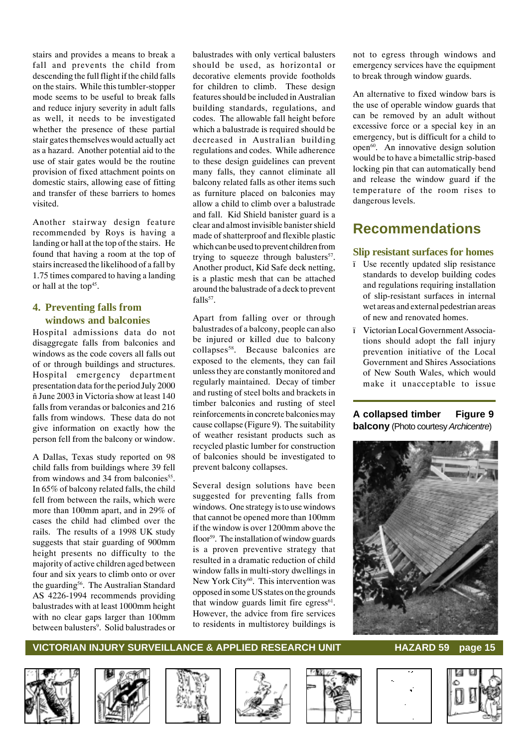stairs and provides a means to break a fall and prevents the child from descending the full flight if the child falls on the stairs. While this tumbler-stopper mode seems to be useful to break falls and reduce injury severity in adult falls as well, it needs to be investigated whether the presence of these partial stair gates themselves would actually act as a hazard. Another potential aid to the use of stair gates would be the routine provision of fixed attachment points on domestic stairs, allowing ease of fitting and transfer of these barriers to homes visited.

Another stairway design feature recommended by Roys is having a landing or hall at the top of the stairs. He found that having a room at the top of stairs increased the likelihood of a fall by 1.75 times compared to having a landing or hall at the top<sup>45</sup>.

#### **4. Preventing falls from windows and balconies**

Hospital admissions data do not disaggregate falls from balconies and windows as the code covers all falls out of or through buildings and structures. Hospital emergency department presentation data for the period July 2000 ñ June 2003 in Victoria show at least 140 falls from verandas or balconies and 216 falls from windows. These data do not give information on exactly how the person fell from the balcony or window.

A Dallas, Texas study reported on 98 child falls from buildings where 39 fell from windows and 34 from balconies<sup>55</sup>. In 65% of balcony related falls, the child fell from between the rails, which were more than 100mm apart, and in 29% of cases the child had climbed over the rails. The results of a 1998 UK study suggests that stair guarding of 900mm height presents no difficulty to the majority of active children aged between four and six years to climb onto or over the guarding<sup>56</sup>. The Australian Standard AS 4226-1994 recommends providing balustrades with at least 1000mm height with no clear gaps larger than 100mm between balusters<sup>9</sup>. Solid balustrades or

balustrades with only vertical balusters should be used, as horizontal or decorative elements provide footholds for children to climb. These design features should be included in Australian building standards, regulations, and codes. The allowable fall height before which a balustrade is required should be decreased in Australian building regulations and codes. While adherence to these design guidelines can prevent many falls, they cannot eliminate all balcony related falls as other items such as furniture placed on balconies may allow a child to climb over a balustrade and fall. Kid Shield banister guard is a clear and almost invisible banister shield made of shatterproof and flexible plastic which can be used to prevent children from trying to squeeze through balusters $57$ . Another product, Kid Safe deck netting, is a plastic mesh that can be attached around the balustrade of a deck to prevent  $falls<sup>57</sup>$ 

Apart from falling over or through balustrades of a balcony, people can also be injured or killed due to balcony collapses<sup>58</sup>. Because balconies are exposed to the elements, they can fail unless they are constantly monitored and regularly maintained. Decay of timber and rusting of steel bolts and brackets in timber balconies and rusting of steel reinforcements in concrete balconies may cause collapse (Figure 9). The suitability of weather resistant products such as recycled plastic lumber for construction of balconies should be investigated to prevent balcony collapses.

Several design solutions have been suggested for preventing falls from windows. One strategy is to use windows that cannot be opened more than 100mm if the window is over 1200mm above the floor<sup>59</sup>. The installation of window guards is a proven preventive strategy that resulted in a dramatic reduction of child window falls in multi-story dwellings in New York City<sup>60</sup>. This intervention was opposed in some US states on the grounds that window guards limit fire egress $61$ . However, the advice from fire services to residents in multistorey buildings is not to egress through windows and emergency services have the equipment to break through window guards.

An alternative to fixed window bars is the use of operable window guards that can be removed by an adult without excessive force or a special key in an emergency, but is difficult for a child to open<sup>60</sup>. An innovative design solution would be to have a bimetallic strip-based locking pin that can automatically bend and release the window guard if the temperature of the room rises to dangerous levels.

# **Recommendations**

#### **Slip resistant surfaces for homes**

- ï Use recently updated slip resistance standards to develop building codes and regulations requiring installation of slip-resistant surfaces in internal wet areas and external pedestrian areas of new and renovated homes.
- ï Victorian Local Government Associations should adopt the fall injury prevention initiative of the Local Government and Shires Associations of New South Wales, which would make it unacceptable to issue

#### **A collapsed timber Figure 9 balcony** (Photo courtesy *Archicentre*)















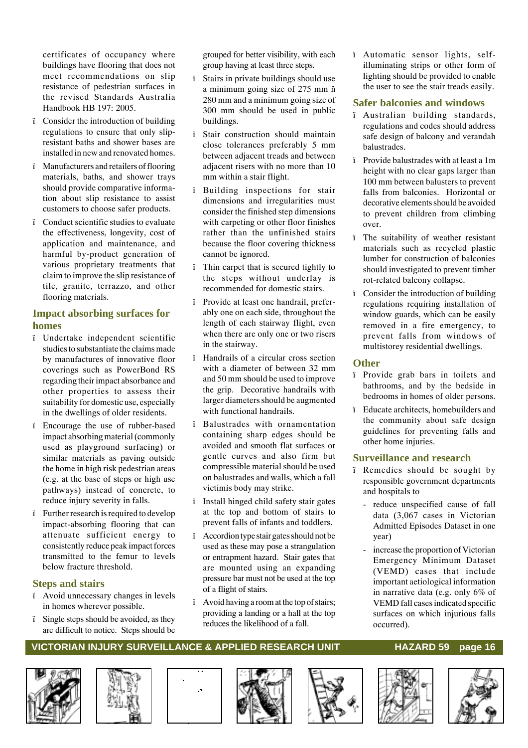certificates of occupancy where buildings have flooring that does not meet recommendations on slip resistance of pedestrian surfaces in the revised Standards Australia Handbook HB 197: 2005.

- ï Consider the introduction of building regulations to ensure that only slipresistant baths and shower bases are installed in new and renovated homes.
- ï Manufacturers and retailers of flooring materials, baths, and shower trays should provide comparative information about slip resistance to assist customers to choose safer products.
- ï Conduct scientific studies to evaluate the effectiveness, longevity, cost of application and maintenance, and harmful by-product generation of various proprietary treatments that claim to improve the slip resistance of tile, granite, terrazzo, and other flooring materials.

#### **Impact absorbing surfaces for homes**

- ï Undertake independent scientific studies to substantiate the claims made by manufactures of innovative floor coverings such as PowerBond RS regarding their impact absorbance and other properties to assess their suitability for domestic use, especially in the dwellings of older residents.
- ï Encourage the use of rubber-based impact absorbing material (commonly used as playground surfacing) or similar materials as paving outside the home in high risk pedestrian areas (e.g. at the base of steps or high use pathways) instead of concrete, to reduce injury severity in falls.
- ï Further research is required to develop impact-absorbing flooring that can attenuate sufficient energy to consistently reduce peak impact forces transmitted to the femur to levels below fracture threshold.

#### **Steps and stairs**

- ï Avoid unnecessary changes in levels in homes wherever possible.
- ï Single steps should be avoided, as they are difficult to notice. Steps should be

grouped for better visibility, with each group having at least three steps.

- ï Stairs in private buildings should use a minimum going size of 275 mm ñ 280 mm and a minimum going size of 300 mm should be used in public buildings.
- ï Stair construction should maintain close tolerances preferably 5 mm between adjacent treads and between adjacent risers with no more than 10 mm within a stair flight.
- Building inspections for stair dimensions and irregularities must consider the finished step dimensions with carpeting or other floor finishes rather than the unfinished stairs because the floor covering thickness cannot be ignored.
- ï Thin carpet that is secured tightly to the steps without underlay is recommended for domestic stairs.
- ï Provide at least one handrail, preferably one on each side, throughout the length of each stairway flight, even when there are only one or two risers in the stairway.
- ï Handrails of a circular cross section with a diameter of between 32 mm and 50 mm should be used to improve the grip. Decorative handrails with larger diameters should be augmented with functional handrails.
- Balustrades with ornamentation containing sharp edges should be avoided and smooth flat surfaces or gentle curves and also firm but compressible material should be used on balustrades and walls, which a fall victimís body may strike.
- ï Install hinged child safety stair gates at the top and bottom of stairs to prevent falls of infants and toddlers.
- ï Accordion type stair gates should not be used as these may pose a strangulation or entrapment hazard. Stair gates that are mounted using an expanding pressure bar must not be used at the top of a flight of stairs.
- ï Avoid having a room at the top of stairs; providing a landing or a hall at the top reduces the likelihood of a fall.

ï Automatic sensor lights, selfilluminating strips or other form of lighting should be provided to enable the user to see the stair treads easily.

#### **Safer balconies and windows**

- ï Australian building standards, regulations and codes should address safe design of balcony and verandah balustrades.
- ï Provide balustrades with at least a 1m height with no clear gaps larger than 100 mm between balusters to prevent falls from balconies. Horizontal or decorative elements should be avoided to prevent children from climbing over.
- ï The suitability of weather resistant materials such as recycled plastic lumber for construction of balconies should investigated to prevent timber rot-related balcony collapse.
- ï Consider the introduction of building regulations requiring installation of window guards, which can be easily removed in a fire emergency, to prevent falls from windows of multistorey residential dwellings.

#### **Other**

- ï Provide grab bars in toilets and bathrooms, and by the bedside in bedrooms in homes of older persons.
- ï Educate architects, homebuilders and the community about safe design guidelines for preventing falls and other home injuries.

#### **Surveillance and research**

- ï Remedies should be sought by responsible government departments and hospitals to
	- reduce unspecified cause of fall data (3,067 cases in Victorian Admitted Episodes Dataset in one year)
	- increase the proportion of Victorian Emergency Minimum Dataset (VEMD) cases that include important aetiological information in narrative data (e.g. only 6% of VEMD fall cases indicated specific surfaces on which injurious falls occurred).













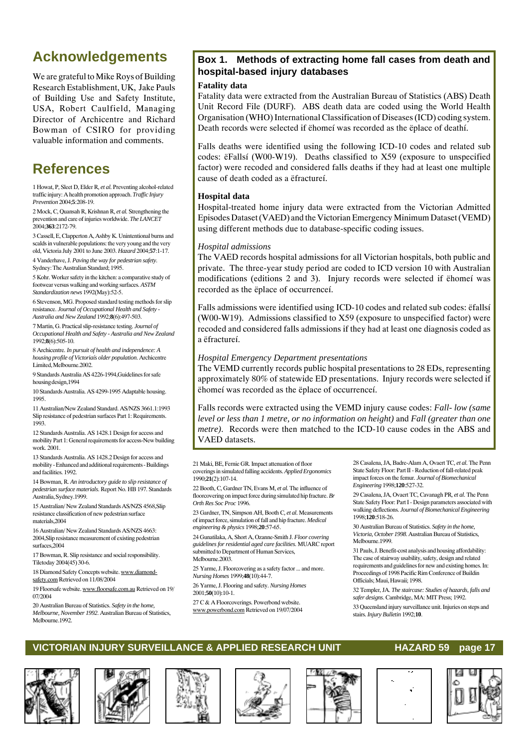# **Acknowledgements**

We are grateful to Mike Roys of Building Research Establishment, UK, Jake Pauls of Building Use and Safety Institute, USA, Robert Caulfield, Managing Director of Archicentre and Richard Bowman of CSIRO for providing valuable information and comments.

# **References**

1 Howat, P, Sleet D, Elder R*, et al.* Preventing alcohol-related traffic injury: A health promotion approach. *Traffic Injury Prevention* 2004;**5**:208-19.

2 Mock, C, Quansah R, Krishnan R*, et al.* Strengthening the prevention and care of injuries worldwide. *The LANCET* 2004;**363**:2172-79.

3 Cassell, E, Clapperton A, Ashby K. Unintentional burns and scalds in vulnerable populations: the very young and the very old, Victoria July 2001 to June 2003. *Hazard* 2004;**57**:1-17.

4 Vanderhave, J. *Paving the way for pedestrian safety*.

Sydney: The Australian Standard; 1995.

5 Kohr. Worker safety in the kitchen: a comparative study of footwear versus walking and working surfaces. *ASTM Standardization news* 1992(May):52-5.

6 Stevenson, MG. Proposed standard testing methods for slip resistance. *Journal of Occupational Health and Safety - Australia and New Zealand* 1992;**8**(6):497-503.

7 Martin, G. Practical slip-resistance testing. *Journal of Occupational Health and Safety - Australia and New Zealand* 1992;**8**(6):505-10.

8 Archicentre. *In pursuit of health and independence: A housing profile of Victoriaís older population*. Archicentre Limited, Melbourne.2002.

9 Standards Australia AS 4226-1994,Guidelines for safe housing design,1994

10 Standards Australia. AS 4299-1995 Adaptable housing. 1995.

11 Australian/New Zealand Standard. AS/NZS 3661.1:1993 Slip resistance of pedestrian surfaces Part 1: Requirements. 1993.

12 Standards Australia. AS 1428.1 Design for access and mobility Part 1: General requirements for access-New building work. 2001.

13 Standards Australia. AS 1428.2 Design for access and mobility - Enhanced and additional requirements - Buildings and facilities. 1992.

14 Bowman, R. *An introductory guide to slip resistance of pedestrian surface materials*. Report No. HB 197. Standards Australia, Sydney.1999.

15 Australian/ New Zealand Standards AS/NZS 4568,Slip resistance classification of new pedestrian surface materials,2004

16 Australian/ New Zealand Standards AS/NZS 4663: 2004,Slip resistance measurement of existing pedestrian surfaces,2004

17 Bowman, R. Slip resistance and social responsibility. Tiletoday 2004(45) 30-6.

18 Diamond Safety Concepts website. www.diamondsafety.com Retrieved on 11/08/2004

19 Floorsafe website. www.floorsafe.com.au Retrieved on 19/ 07/2004

20 Australian Bureau of Statistics. *Safety in the home, Melbourne, November 1992*. Australian Bureau of Statistics, Melbourne.1992.

#### **Box 1. Methods of extracting home fall cases from death and hospital-based injury databases**

#### **Fatality data**

Fatality data were extracted from the Australian Bureau of Statistics (ABS) Death Unit Record File (DURF). ABS death data are coded using the World Health Organisation (WHO) International Classification of Diseases (ICD) coding system. Death records were selected if ëhomeí was recorded as the ëplace of deathí.

Falls deaths were identified using the following ICD-10 codes and related sub codes: ëFallsí (W00-W19). Deaths classified to X59 (exposure to unspecified factor) were recoded and considered falls deaths if they had at least one multiple cause of death coded as a ëfractureí.

#### **Hospital data**

Hospital-treated home injury data were extracted from the Victorian Admitted Episodes Dataset (VAED) and the Victorian Emergency Minimum Dataset (VEMD) using different methods due to database-specific coding issues.

#### *Hospital admissions*

The VAED records hospital admissions for all Victorian hospitals, both public and private. The three-year study period are coded to ICD version 10 with Australian modifications (editions 2 and 3). Injury records were selected if ëhomeí was recorded as the ëplace of occurrenceí.

Falls admissions were identified using ICD-10 codes and related sub codes: ëfallsí (W00-W19). Admissions classified to X59 (exposure to unspecified factor) were recoded and considered falls admissions if they had at least one diagnosis coded as a ëfractureí.

#### *Hospital Emergency Department presentations*

The VEMD currently records public hospital presentations to 28 EDs, representing approximately 80% of statewide ED presentations. Injury records were selected if ëhomeí was recorded as the ëplace of occurrenceí.

Falls records were extracted using the VEMD injury cause codes: *Fall- low (same level or less than 1 metre, or no information on height)* and *Fall (greater than one metre)*. Records were then matched to the ICD-10 cause codes in the ABS and VAED datasets.

21 Maki, BE, Fernie GR. Impact attenuation of floor coverings in simulated falling accidents. *Applied Ergonomics* 1990;**21**(2):107-14.

22 Booth, C, Gardner TN, Evans M*, et al.* The influence of floorcovering on impact force during simulated hip fracture. *Br Orth Res Soc Proc* 1996.

23 Gardner, TN, Simpson AH, Booth C*, et al.* Measurements of impact force, simulation of fall and hip fracture. *Medical engineering & physics* 1998;**20**:57-65.

24 Gunatilaka, A, Short A, Ozanne-Smith J. *Floor covering guidelines for residential aged care facilities*. MUARC report submitted to Department of Human Services, Melbourne.2003.

25 Yarme, J. Floorcovering as a safety factor ... and more. *Nursing Homes* 1999;**48**(10):44-7.

26 Yarme, J. Flooring and safety. *Nursing Homes* 2001;**50**(10):10-1.

27 C & A Floorcoverings. Powerbond website. www.powerbond.com Retrieved on 19/07/2004 28 Casalena, JA, Badre-Alam A, Ovaert TC*, et al.* The Penn State Safety Floor: Part II - Reduction of fall-related peak impact forces on the femur. *Journal of Biomechanical Engineering* 1998;**120**:527-32.

29 Casalena, JA, Ovaert TC, Cavanagh PR*, et al.* The Penn State Safety Floor: Part I - Design parameters associated with walking deflections. *Journal of Biomechanical Engineering* 1998;**120**:518-26.

30 Australian Bureau of Statistics. *Safety in the home, Victoria, October 1998*. Australian Bureau of Statistics, Melbourne.1999.

31 Pauls, J. Benefit-cost analysis and housing affordability: The case of stairway usability, safety, design and related requirements and guidelines for new and existing homes. In: Proceedings of 1998 Pacific Rim Conference of Buildin Officials; Maui, Hawaii; 1998.

32 Templer, JA. *The staircase: Studies of hazards, falls and safer designs*. Cambridge, MA: MIT Press; 1992.

33 Queensland injury surveillance unit. Injuries on steps and stairs. *Injury Bulletin* 1992;**10**.









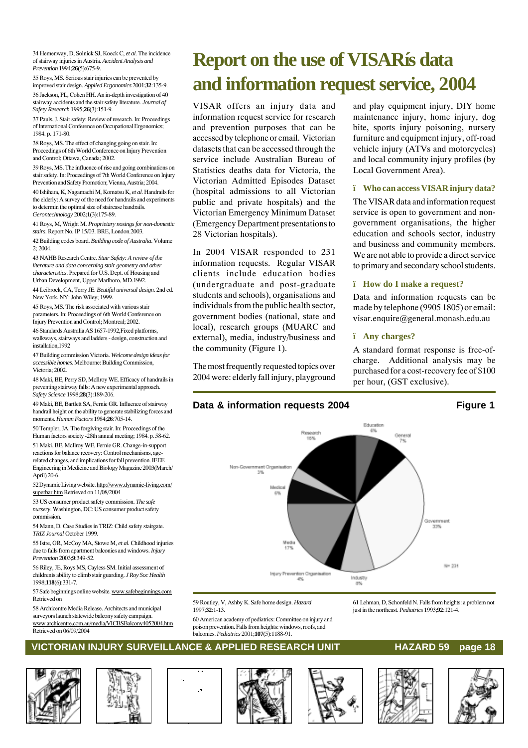34 Hemenway, D, Solnick SJ, Koeck C*, et al.* The incidence of stairway injuries in Austria. *Accident Analysis and Prevention* 1994;**26**(5):675-9.

35 Roys, MS. Serious stair injuries can be prevented by improved stair design. *Applied Ergonomics* 2001;**32**:135-9. 36 Jackson, PL, Cohen HH. An in-depth investigation of 40 stairway accidents and the stair safety literature. *Journal of Safety Research* 1995;**26**(3):151-9.

37 Pauls, J. Stair safety: Review of research. In: Proceedings of International Conference on Occupational Ergonomics; 1984. p. 171-80.

38 Roys, MS. The effect of changing going on stair. In: Proceedings of 6th World Conference on Injury Prevention and Control; Ottawa, Canada; 2002.

39 Roys, MS. The influence of rise and going combinations on stair safety. In: Proceedings of 7th World Conference on Injury Prevention and Safety Promotion; Vienna, Austria; 2004.

40 Ishihara, K, Nagamachi M, Komatsu K*, et al.* Handrails for the elderly: A survey of the need for handrails and experiments to determin the optimal size of staircase handrails. *Gerontechnology* 2002;**1**(3):175-89.

41 Roys, M, Wright M. *Proprietary nosings for non-domestic stairs*. Report No. IP 15/03. BRE, London.2003.

42 Building codes board. *Building code of Australia*. Volume 2; 2004.

43 NAHB Research Centre. *Stair Safety: A review of the literature and data concerning stair geometry and other characteristics*. Prepared for U.S. Dept. of Housing and Urban Development, Upper Marlboro, MD.1992.

44 Leibrock, CA, Terry JE. *Beutiful universal design*. 2nd ed. New York, NY: John Wiley; 1999.

45 Roys, MS. The risk associated with various stair parameters. In: Proceedings of 6th World Conference on Injury Prevention and Control; Montreal; 2002.

46 Standards Australia AS 1657-1992,Fixed platforms, walkways, stairways and ladders - design, construction and installation,1992

47 Building commission Victoria. *Welcome design ideas for accessible homes*. Melbourne: Building Commission, Victoria; 2002.

48 Maki, BE, Perry SD, McIlroy WE. Efficacy of handrails in preventing stairway falls: A new experimental approach. *Safety Science* 1998;**28**(3):189-206.

49 Maki, BE, Bartlett SA, Fernie GR. Influence of stairway handrail height on the ability to generate stabilizing forces and moments. *Human Factors* 1984;**26**:705-14.

50 Templer, JA. The forgiving stair. In: Proceedings of the Human factors society -28th annual meeting; 1984. p. 58-62. 51 Maki, BE, McIlroy WE, Fernie GR. Change-in-support reactions for balance recovery: Control mechanisms, ag

related changes, and implications for fall prevention. IEEE Engineering in Medicine and Biology Magazine 2003(March/ April) 20-6.

52 Dynamic Living website. http://www.dynamic-living.com/ superbar.htm Retrieved on 11/08/2004

53 US consumer product safety commission. *The safe nursery*. Washington, DC: US consumer product safety commission.

54 Mann, D. Case Studies in TRIZ: Child safety stairgate. *TRIZ Journal* October 1999.

55 Istre, GR, McCoy MA, Stowe M*, et al.* Childhood injuries due to falls from apartment balconies and windows. *Injury Prevention* 2003;**9**:349-52.

56 Riley, JE, Roys MS, Cayless SM. Initial assessment of childrenís ability to climb stair guarding. *J Roy Soc Health* 1998;**118**(6):331-7.

57 Safe beginnings online website. www.safebeginnings.com Retrieved on

58 Archicentre Media Release. Architects and municipal surveyors launch statewide balcony safety campaign. www.archicentre.com.au/media/VICBSBalcony4052004.htm Retrieved on 06/09/2004

# **Report on the use of VISARís data and information request service, 2004**

VISAR offers an injury data and information request service for research and prevention purposes that can be accessed by telephone or email. Victorian datasets that can be accessed through the service include Australian Bureau of Statistics deaths data for Victoria, the Victorian Admitted Episodes Dataset (hospital admissions to all Victorian public and private hospitals) and the Victorian Emergency Minimum Dataset (Emergency Department presentations to 28 Victorian hospitals).

In 2004 VISAR responded to 231 information requests. Regular VISAR clients include education bodies (undergraduate and post-graduate students and schools), organisations and individuals from the public health sector, government bodies (national, state and local), research groups (MUARC and external), media, industry/business and the community (Figure 1).

The most frequently requested topics over 2004 were: elderly fall injury, playground

and play equipment injury, DIY home maintenance injury, home injury, dog bite, sports injury poisoning, nursery furniture and equipment injury, off-road vehicle injury (ATVs and motorcycles) and local community injury profiles (by Local Government Area).

#### **ï Who can access VISAR injury data?**

The VISAR data and information request service is open to government and nongovernment organisations, the higher education and schools sector, industry and business and community members. We are not able to provide a direct service to primary and secondary school students.

#### **ï How do I make a request?**

Data and information requests can be made by telephone (9905 1805) or email: visar.enquire@general.monash.edu.au

#### **ï Any charges?**

A standard format response is free-ofcharge. Additional analysis may be purchased for a cost-recovery fee of \$100 per hour, (GST exclusive).

#### Data & information requests 2004 Figure 1



59 Routley, V, Ashby K. Safe home design. *Hazard* 1997;**32**:1-13.

60 American academy of pediatrics: Committee on injury and poison prevention. Falls from heights: windows, roofs, and

**VICTORIAN INJURY SURVEILLANCE & APPLIED RESEARCH UNIT HAZARD 59 page 18** balconies. *Pediatrics* 2001;**107**(5):1188-91.

61 Lehman, D, Schonfeld N. Falls from heights: a problem not

just in the northeast. *Pediatrics* 1993;**92**:121-4.











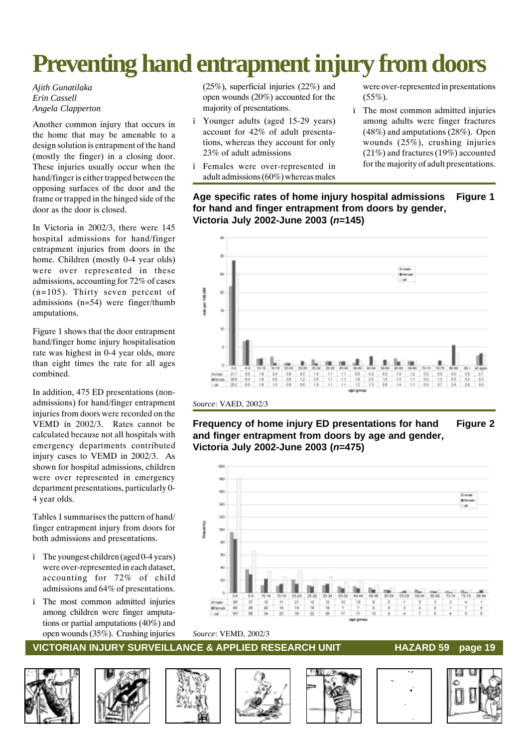# **Preventing hand entrapment injury from doors**

#### *Ajith Gunatilaka Erin Cassell Angela Clapperton*

Another common injury that occurs in the home that may be amenable to a design solution is entrapment of the hand (mostly the finger) in a closing door. These injuries usually occur when the hand/finger is either trapped between the opposing surfaces of the door and the frame or trapped in the hinged side of the door as the door is closed.

In Victoria in 2002/3, there were 145 hospital admissions for hand/finger entrapment injuries from doors in the home. Children (mostly 0-4 year olds) were over represented in these admissions, accounting for 72% of cases (n=105). Thirty seven percent of admissions (n=54) were finger/thumb amputations.

Figure 1 shows that the door entrapment hand/finger home injury hospitalisation rate was highest in 0-4 year olds, more than eight times the rate for all ages combined.

In addition, 475 ED presentations (nonadmissions) for hand/finger entrapment injuries from doors were recorded on the VEMD in 2002/3. Rates cannot be calculated because not all hospitals with emergency departments contributed injury cases to VEMD in 2002/3. As shown for hospital admissions, children were over represented in emergency department presentations, particularly 0- 4 year olds.

Tables 1 summarises the pattern of hand/ finger entrapment injury from doors for both admissions and presentations.

- ï The youngest children (aged 0-4 years) were over-represented in each dataset, accounting for 72% of child admissions and 64% of presentations.
- ï The most common admitted injuries among children were finger amputations or partial amputations (40%) and open wounds (35%). Crushing injuries

(25%), superficial injuries (22%) and open wounds (20%) accounted for the majority of presentations.

- ï Younger adults (aged 15-29 years) account for 42% of adult presentations, whereas they account for only 23% of adult admissions
- ï Females were over-represented in adult admissions (60%) whereas males

were over-represented in presentations  $(55\%)$ .

ï The most common admitted injuries among adults were finger fractures (48%) and amputations (28%). Open wounds (25%), crushing injuries (21%) and fractures (19%) accounted for the majority of adult presentations.

**Age specific rates of home injury hospital admissions Figure 1 for hand and finger entrapment from doors by gender, Victoria July 2002-June 2003 (***n***=145)**



*Source*: VAED, 2002/3

**Frequency of home injury ED presentations for hand Figure 2 and finger entrapment from doors by age and gender, Victoria July 2002-June 2003 (***n***=475)**



#### *Source*: VEMD, 2002/3











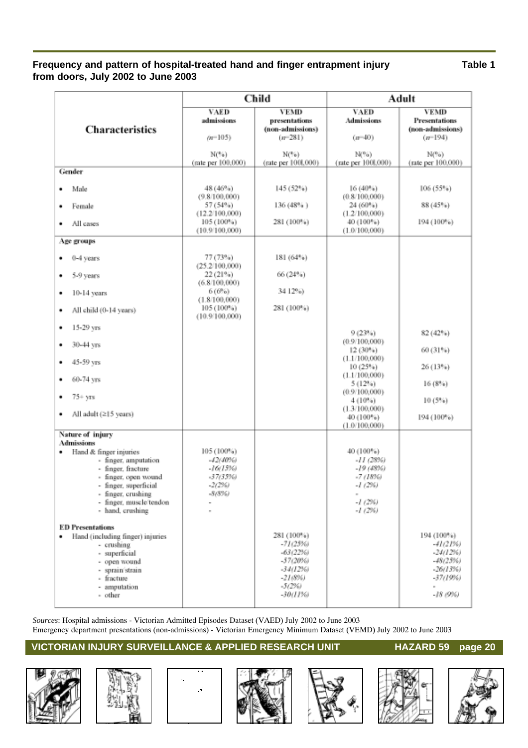### **Frequency and pattern of hospital-treated hand and finger entrapment injury Table 1 from doors, July 2002 to June 2003**

|                                                                                                                                                                                                                                                                                                                                                                                                                  | Child                                                                                                                |                                                                                                    | Adult                                                                                                                                                               |                                                                                              |  |
|------------------------------------------------------------------------------------------------------------------------------------------------------------------------------------------------------------------------------------------------------------------------------------------------------------------------------------------------------------------------------------------------------------------|----------------------------------------------------------------------------------------------------------------------|----------------------------------------------------------------------------------------------------|---------------------------------------------------------------------------------------------------------------------------------------------------------------------|----------------------------------------------------------------------------------------------|--|
| Characteristics                                                                                                                                                                                                                                                                                                                                                                                                  | <b>VAED</b><br>admissions<br>$(n=105)$<br>N(54)                                                                      | <b>VEMD</b><br>presentations<br>(non-admissions)<br>$(n=281)$<br>N("b)                             | <b>VAED</b><br>Admissions<br>$(n=40)$<br>N(96)                                                                                                                      | <b>VEMD</b><br>Presentations<br>(non-admissions)<br>$(n=194)$<br>$N($ %)                     |  |
| Gender                                                                                                                                                                                                                                                                                                                                                                                                           | (rate per 100,000)                                                                                                   | (rate per 1001,000)                                                                                | (rate per 100l,000)                                                                                                                                                 | (rate per 100,000)                                                                           |  |
| Male<br>٠<br>Female<br>٠<br>All cases<br>٠                                                                                                                                                                                                                                                                                                                                                                       | 48 (46%)<br>(9.8/100,000)<br>57 (54%)<br>(12.2/100,000)<br>105 (100%)<br>(10.9/100,000)                              | 145 (52%)<br>136 (48%)<br>281 (100%)                                                               | 16 (40%)<br>(0.8/100,000)<br>24 (60%)<br>(1.2/100,000)<br>40 (100%)<br>(1.0/100,000)                                                                                | 106(55%)<br>88 (45%)<br>194 (100%)                                                           |  |
| Age groups                                                                                                                                                                                                                                                                                                                                                                                                       |                                                                                                                      |                                                                                                    |                                                                                                                                                                     |                                                                                              |  |
| 0-4 years<br>5-9 years<br>٠<br>$10-14$ years<br>٠<br>All child (0-14 years)<br>٠                                                                                                                                                                                                                                                                                                                                 | 77 (73%)<br>(25.2/100,000)<br>22 (21%)<br>(6.8/100,000)<br>$6(6\%)$<br>(1.8/100,000)<br>105 (100%)<br>(10.9/100,000) | 181 (64%)<br>66 (24%)<br>34 12%)<br>281 (100%)                                                     |                                                                                                                                                                     |                                                                                              |  |
| 15-29 yrs<br>٠<br>30-44 yrs<br>٠<br>45-59 yrs<br>٠<br>60-74 yrs<br>٠<br>$75 + yrs$<br>٠<br>All adult (215 years)<br>٠                                                                                                                                                                                                                                                                                            |                                                                                                                      |                                                                                                    | 9(23%)<br>(0.9/100,000)<br>12(30%)<br>(1.1/100,000)<br>10(25%)<br>(1.1/100,000)<br>5(12%)<br>(0.9/100,000)<br>4(10%)<br>(1.3/100,000)<br>40 (100%)<br>(1.0/100,000) | 82 (42%)<br>60 (31%)<br>26 (13%)<br>16(8%)<br>10(5%)<br>194 (100%)                           |  |
| Nature of injury<br>Admissions<br>Hand & finger injuries<br>٠<br>- finger, amputation<br>- finger, fracture<br>- finger, open wound<br>- finger, superficial<br>- finger, crushing<br>- finger, muscle/tendon<br>- hand, crushing<br><b>ED Presentations</b><br>Hand (including finger) injuries<br>٠<br>- crushing<br>- superficial<br>- open wound<br>- sprain/strain<br>- fracture<br>- amputation<br>- other | 105 (100%)<br>-42(40%)<br>$-16(15%)$<br>-37(35%)<br>$-2(296)$<br>-8(8%)                                              | 281 (100%)<br>$-71(25%)$<br>$-63(22%)$<br>-57(20%)<br>$-34(12%)$<br>$-21(8%$<br>-5(2%)<br>-30(11%) | 40 (100%)<br>$-II(2896)$<br>$-19(48%)$<br>-7 (1896)<br>$-1(2%)$<br>$\scriptstyle\rm{m}$<br>$-1(296)$<br>-1 (2%)                                                     | 194 (100%)<br>-41(21%)<br>$-24(12%)$<br>-48(25%)<br>$-26(13%)$<br>-37(19%)<br>×.<br>-18 (9%) |  |

*Sources*: Hospital admissions - Victorian Admitted Episodes Dataset (VAED) July 2002 to June 2003 Emergency department presentations (non-admissions) - Victorian Emergency Minimum Dataset (VEMD) July 2002 to June 2003













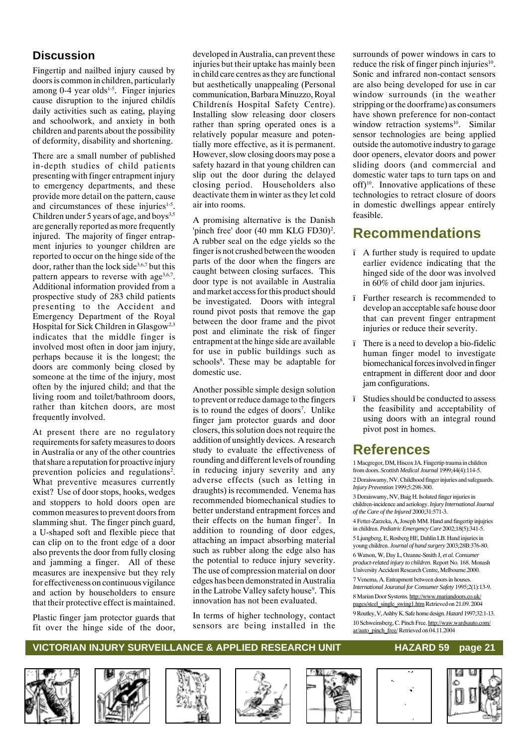## **Discussion**

Fingertip and nailbed injury caused by doors is common in children, particularly among 0-4 year olds<sup>1-5</sup>. Finger injuries cause disruption to the injured childís daily activities such as eating, playing and schoolwork, and anxiety in both children and parents about the possibility of deformity, disability and shortening.

There are a small number of published in-depth studies of child patients presenting with finger entrapment injury to emergency departments, and these provide more detail on the pattern, cause and circumstances of these injuries<sup>1-5</sup>. Children under 5 years of age, and boys<sup>3,5</sup> are generally reported as more frequently injured. The majority of finger entrapment injuries to younger children are reported to occur on the hinge side of the door, rather than the lock side<sup>3,6,7</sup> but this pattern appears to reverse with age<sup>3,6,7</sup>. Additional information provided from a prospective study of 283 child patients presenting to the Accident and Emergency Department of the Royal Hospital for Sick Children in Glasgow<sup>2,3</sup> indicates that the middle finger is involved most often in door jam injury, perhaps because it is the longest; the doors are commonly being closed by someone at the time of the injury, most often by the injured child; and that the living room and toilet/bathroom doors, rather than kitchen doors, are most frequently involved.

At present there are no regulatory requirements for safety measures to doors in Australia or any of the other countries that share a reputation for proactive injury prevention policies and regulations<sup>2</sup>. What preventive measures currently exist? Use of door stops, hooks, wedges and stoppers to hold doors open are common measures to prevent doors from slamming shut. The finger pinch guard, a U-shaped soft and flexible piece that can clip on to the front edge of a door also prevents the door from fully closing and jamming a finger. All of these measures are inexpensive but they rely for effectiveness on continuous vigilance and action by householders to ensure that their protective effect is maintained.

Plastic finger jam protector guards that fit over the hinge side of the door,

developed in Australia, can prevent these injuries but their uptake has mainly been in child care centres as they are functional but aesthetically unappealing (Personal communication, Barbara Minuzzo, Royal Childrenís Hospital Safety Centre). Installing slow releasing door closers rather than spring operated ones is a relatively popular measure and potentially more effective, as it is permanent. However, slow closing doors may pose a safety hazard in that young children can slip out the door during the delayed closing period. Householders also deactivate them in winter as they let cold air into rooms.

A promising alternative is the Danish 'pinch free' door (40 mm KLG FD30)<sup>2</sup>. A rubber seal on the edge yields so the finger is not crushed between the wooden parts of the door when the fingers are caught between closing surfaces. This door type is not available in Australia and market access for this product should be investigated. Doors with integral round pivot posts that remove the gap between the door frame and the pivot post and eliminate the risk of finger entrapment at the hinge side are available for use in public buildings such as schools<sup>8</sup>. These may be adaptable for domestic use.

Another possible simple design solution to prevent or reduce damage to the fingers is to round the edges of doors<sup>7</sup>. Unlike finger jam protector guards and door closers, this solution does not require the addition of unsightly devices. A research study to evaluate the effectiveness of rounding and different levels of rounding in reducing injury severity and any adverse effects (such as letting in draughts) is recommended. Venema has recommended biomechanical studies to better understand entrapment forces and their effects on the human finger<sup>7</sup>. In addition to rounding of door edges, attaching an impact absorbing material such as rubber along the edge also has the potential to reduce injury severity. The use of compression material on door edges has been demonstrated in Australia in the Latrobe Valley safety house<sup>9</sup>. This innovation has not been evaluated.

In terms of higher technology, contact sensors are being installed in the

surrounds of power windows in cars to reduce the risk of finger pinch injuries $10$ . Sonic and infrared non-contact sensors are also being developed for use in car window surrounds (in the weather stripping or the doorframe) as consumers have shown preference for non-contact window retraction systems<sup>10</sup>. Similar sensor technologies are being applied outside the automotive industry to garage door openers, elevator doors and power sliding doors (and commercial and domestic water taps to turn taps on and off $10<sup>10</sup>$ . Innovative applications of these technologies to retract closure of doors in domestic dwellings appear entirely feasible.

## **Recommendations**

- ï A further study is required to update earlier evidence indicating that the hinged side of the door was involved in 60% of child door jam injuries.
- ï Further research is recommended to develop an acceptable safe house door that can prevent finger entrapment injuries or reduce their severity.
- ï There is a need to develop a bio-fidelic human finger model to investigate biomechanical forces involved in finger entrapment in different door and door jam configurations.
- ï Studies should be conducted to assess the feasibility and acceptability of using doors with an integral round pivot post in homes.

# **References**

1 Macgregor, DM, Hiscox JA. Fingertip trauma in children from doors. *Scottish Medical Journal* 1999;44(4):114-5.

2 Doraiswamy, NV. Childhood finger injuries and safeguards. *Injury Prevention* 1999;5:298-300.

3 Doraiswamy, NV, Baig H. Isolated finger injuries in children-incidence and aetiology. *Injury International Journal of the Care of the Injured* 2000;31:571-3.

4 Fetter-Zarzeka, A, Joseph MM. Hand and fingertip injujries in children. *Pediatric Emergency Care* 2002;18(5):341-5.

5 Ljungberg, E, Rosberg HE, Dahlin LB. Hand injuries in young children. *Journal of hand surgery* 2003;28B:376-80.

6 Watson, W, Day L, Ozanne-Smith J*, et al. Consumer product-related injury to children*. Report No. 168. Monash University Accident Research Centre, Melbourne.2000.

7 Venema, A. Entrapment between doors in houses. *International Jouranal for Consumer Safety* 1995;2(1):13-9. 8 Marian Door Systems. http://www.mariandoors.co.uk/ pages/steel\_single\_swing1.htm Retrieved on 21.09. 2004 9 Routley, V, Ashby K. Safe home design. *Hazard* 1997;32:1-13.

10 Schweinsberg, C. Pinch Free. http://waw.wardsauto.com/ ar/auto\_pinch\_free/ Retrieved on 04.11.2004













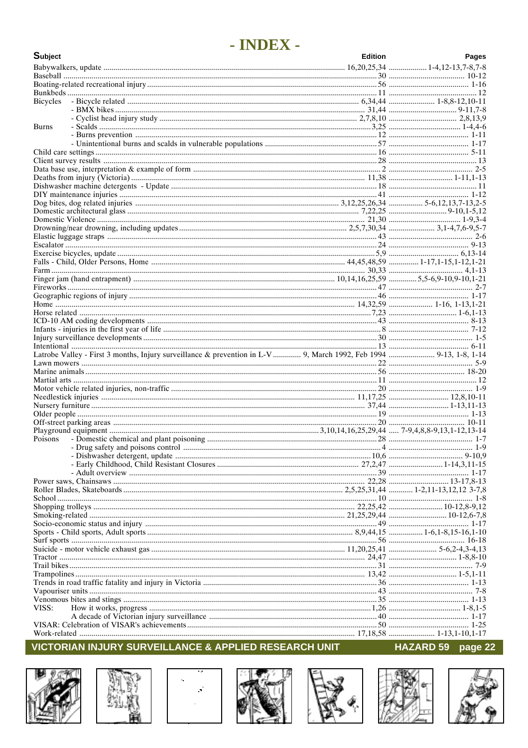# - INDEX -

| Subject                                                                                                            | <b>Edition</b> | Pages |
|--------------------------------------------------------------------------------------------------------------------|----------------|-------|
|                                                                                                                    |                |       |
|                                                                                                                    |                |       |
|                                                                                                                    |                |       |
|                                                                                                                    |                |       |
| <b>Bicycles</b>                                                                                                    |                |       |
|                                                                                                                    |                |       |
|                                                                                                                    |                |       |
| <b>Burns</b>                                                                                                       |                |       |
|                                                                                                                    |                |       |
|                                                                                                                    |                |       |
|                                                                                                                    |                |       |
|                                                                                                                    |                |       |
|                                                                                                                    |                |       |
|                                                                                                                    |                |       |
|                                                                                                                    |                |       |
|                                                                                                                    |                |       |
|                                                                                                                    |                |       |
|                                                                                                                    |                |       |
|                                                                                                                    |                |       |
|                                                                                                                    |                |       |
|                                                                                                                    |                |       |
|                                                                                                                    |                |       |
|                                                                                                                    |                |       |
|                                                                                                                    |                |       |
|                                                                                                                    |                |       |
|                                                                                                                    |                |       |
|                                                                                                                    |                |       |
|                                                                                                                    |                |       |
|                                                                                                                    |                |       |
|                                                                                                                    |                |       |
|                                                                                                                    |                |       |
|                                                                                                                    |                |       |
|                                                                                                                    |                |       |
| Latrobe Valley - First 3 months, Injury surveillance & prevention in L-V  9, March 1992, Feb 1994  9-13, 1-8, 1-14 |                |       |
|                                                                                                                    |                |       |
|                                                                                                                    |                |       |
|                                                                                                                    |                |       |
|                                                                                                                    |                |       |
|                                                                                                                    |                |       |
|                                                                                                                    |                |       |
|                                                                                                                    |                |       |
|                                                                                                                    |                |       |
| Poisons                                                                                                            |                |       |
|                                                                                                                    |                |       |
|                                                                                                                    |                |       |
|                                                                                                                    |                |       |
|                                                                                                                    |                |       |
|                                                                                                                    |                |       |
|                                                                                                                    |                |       |
|                                                                                                                    |                |       |
|                                                                                                                    |                |       |
|                                                                                                                    |                |       |
|                                                                                                                    |                |       |
|                                                                                                                    |                |       |
|                                                                                                                    |                |       |
|                                                                                                                    |                |       |
|                                                                                                                    |                |       |
|                                                                                                                    |                |       |
|                                                                                                                    |                |       |
|                                                                                                                    |                |       |
|                                                                                                                    |                |       |
|                                                                                                                    |                |       |
| VISS:                                                                                                              |                |       |
|                                                                                                                    |                |       |
|                                                                                                                    |                |       |
|                                                                                                                    |                |       |











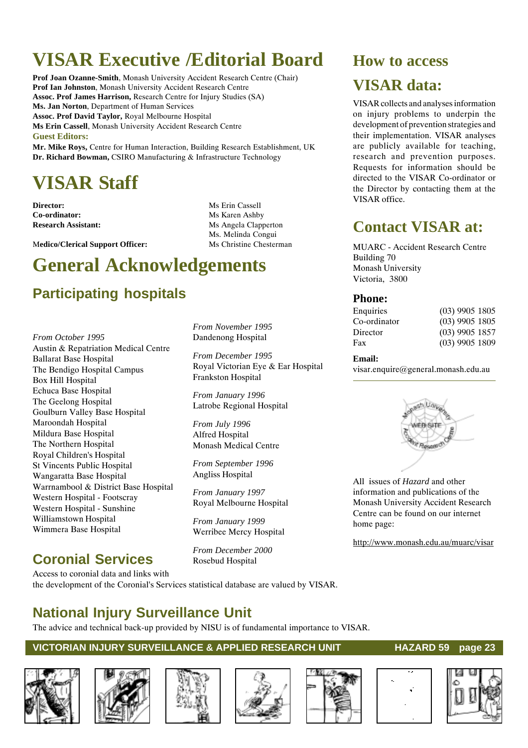# **VISAR Executive /Editorial Board**

**Prof Joan Ozanne-Smith**, Monash University Accident Research Centre (Chair) **Prof Ian Johnston**, Monash University Accident Research Centre **Assoc. Prof James Harrison,** Research Centre for Injury Studies (SA) **Ms. Jan Norton**, Department of Human Services **Assoc. Prof David Taylor,** Royal Melbourne Hospital **Ms Erin Cassell**, Monash University Accident Research Centre **Guest Editors:**

**Mr. Mike Roys,** Centre for Human Interaction, Building Research Establishment, UK **Dr. Richard Bowman,** CSIRO Manufacturing & Infrastructure Technology

# **VISAR Staff**

**Director:** Ms Erin Cassell **Co-ordinator:** Ms Karen Ashby

**Research Assistant:** Ms Angela Clapperton Ms. Melinda Congui

> *From November 1995* Dandenong Hospital

> *From December 1995*

Frankston Hospital

*From January 1996* Latrobe Regional Hospital

Monash Medical Centre

*From September 1996* Angliss Hospital

*From January 1997* Royal Melbourne Hospital

*From January 1999* Werribee Mercy Hospital

*From December 2000* Rosebud Hospital

*From July 1996* Alfred Hospital

Royal Victorian Eye & Ear Hospital

Medico/Clerical Support Officer: Ms Christine Chesterman

# **General Acknowledgements**

# **Participating hospitals**

*From October 1995* Austin & Repatriation Medical Centre Ballarat Base Hospital The Bendigo Hospital Campus Box Hill Hospital Echuca Base Hospital The Geelong Hospital Goulburn Valley Base Hospital Maroondah Hospital Mildura Base Hospital The Northern Hospital Royal Children's Hospital St Vincents Public Hospital Wangaratta Base Hospital Warrnambool & District Base Hospital Western Hospital - Footscray Western Hospital - Sunshine Williamstown Hospital Wimmera Base Hospital

# **Coronial Services**

Access to coronial data and links with the development of the Coronial's Services statistical database are valued by VISAR.

# **National Injury Surveillance Unit**

The advice and technical back-up provided by NISU is of fundamental importance to VISAR.

### **VICTORIAN INJURY SURVEILLANCE & APPLIED RESEARCH UNIT HAZARD 59 page 23**











#### are publicly available for teaching, research and prevention purposes.

VISAR collects and analyses information on injury problems to underpin the development of prevention strategies and their implementation. VISAR analyses

**How to access**

**VISAR data:**

Requests for information should be directed to the VISAR Co-ordinator or the Director by contacting them at the VISAR office.

# **Contact VISAR at:**

MUARC - Accident Research Centre Building 70 Monash University Victoria, 3800

### **Phone:**

| Enquiries    | $(03)$ 9905 1805 |  |
|--------------|------------------|--|
| Co-ordinator | $(03)$ 9905 1805 |  |
| Director     | $(03)$ 9905 1857 |  |
| Fax          | $(03)$ 9905 1809 |  |
|              |                  |  |

#### **Email:**

visar.enquire@general.monash.edu.au



All issues of *Hazard* and other information and publications of the Monash University Accident Research Centre can be found on our internet home page:

http://www.monash.edu.au/muarc/visar